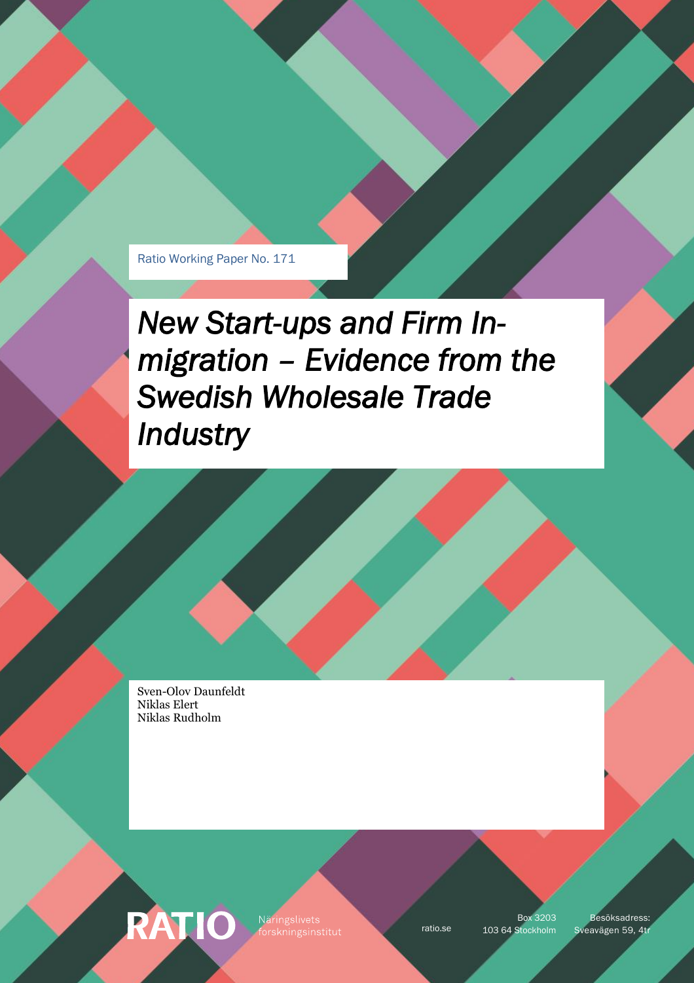Ratio Working Paper No. 171

*New Start-ups and Firm Inmigration – Evidence from the Swedish Wholesale Trade Industry* 

Sven-Olov Daunfeldt Niklas Elert Niklas Rudholm

**RATIO** 

Näringslivets

Box 3203

ratio.se 103 64 Stockholm Sveavägen 59, 4tr Besöksadress: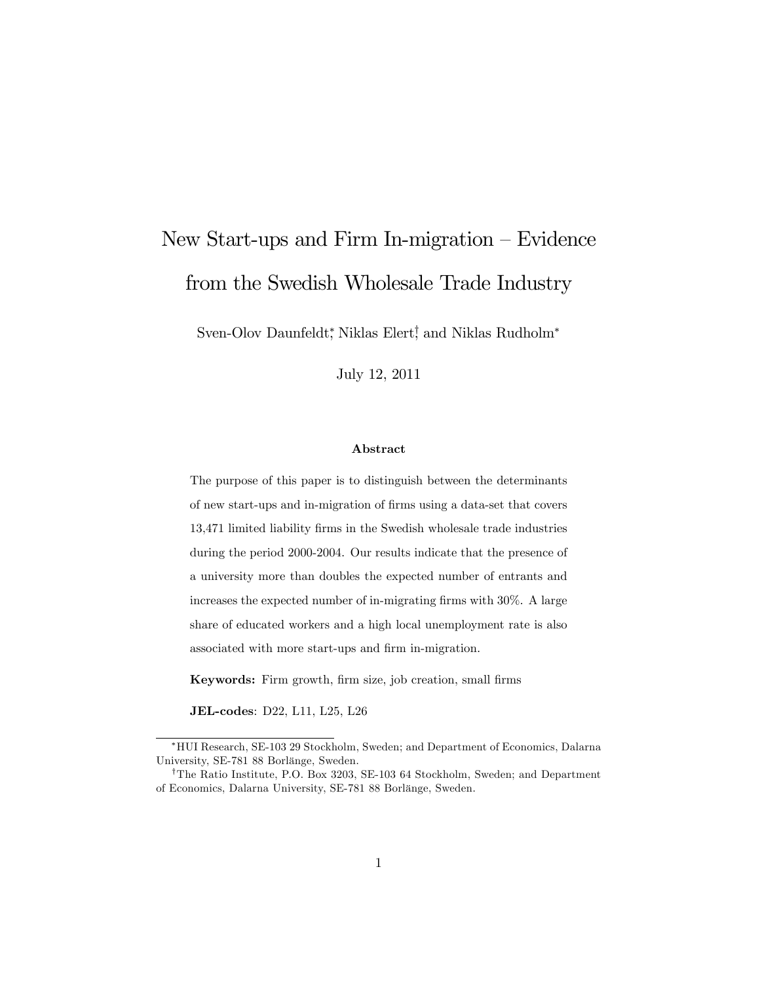# New Start-ups and Firm In-migration  $-$  Evidence from the Swedish Wholesale Trade Industry

Sven-Olov Daunfeldt,\* Niklas Elert! and Niklas Rudholm\*

July 12, 2011

#### Abstract

The purpose of this paper is to distinguish between the determinants of new start-ups and in-migration of Örms using a data-set that covers 13,471 limited liability Örms in the Swedish wholesale trade industries during the period 2000-2004. Our results indicate that the presence of a university more than doubles the expected number of entrants and increases the expected number of in-migrating firms with 30%. A large share of educated workers and a high local unemployment rate is also associated with more start-ups and firm in-migration.

Keywords: Firm growth, firm size, job creation, small firms

JEL-codes: D22, L11, L25, L26

HUI Research, SE-103 29 Stockholm, Sweden; and Department of Economics, Dalarna University, SE-781 88 Borlänge, Sweden.

<sup>&</sup>lt;sup>†</sup>The Ratio Institute, P.O. Box 3203, SE-103 64 Stockholm, Sweden; and Department of Economics, Dalarna University, SE-781 88 Borlänge, Sweden.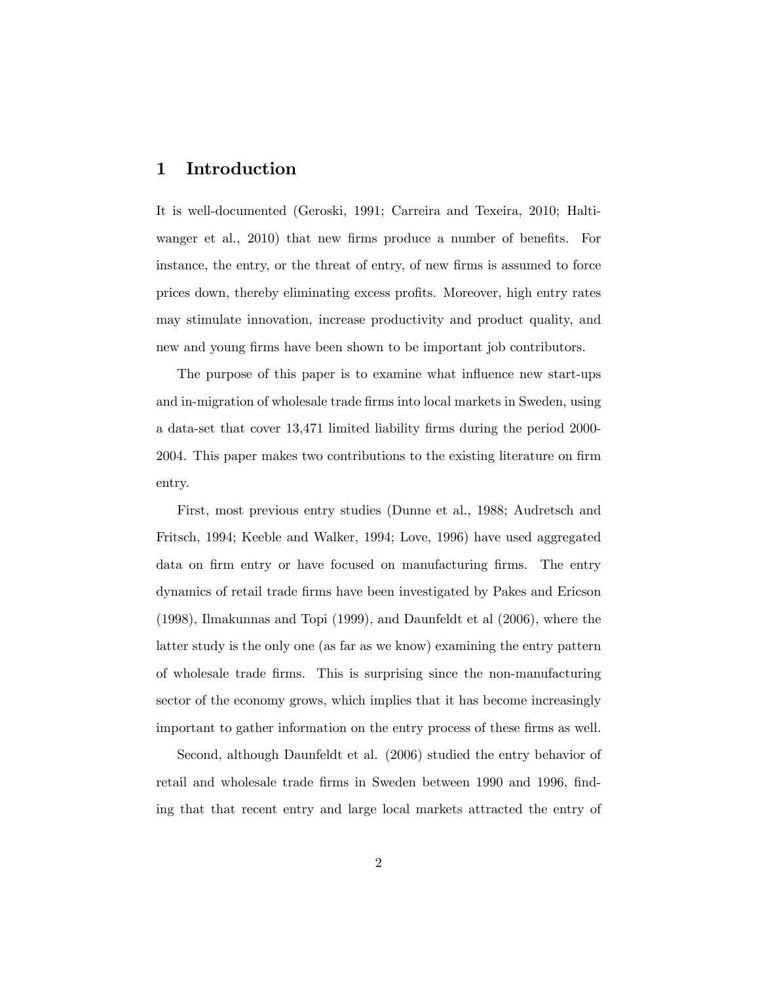## 1 Introduction

It is well-documented (Geroski, 1991; Carreira and Texeira, 2010; Haltiwanger et al., 2010) that new firms produce a number of benefits. For instance, the entry, or the threat of entry, of new firms is assumed to force prices down, thereby eliminating excess profits. Moreover, high entry rates may stimulate innovation, increase productivity and product quality, and new and young firms have been shown to be important job contributors.

The purpose of this paper is to examine what influence new start-ups and in-migration of wholesale trade firms into local markets in Sweden, using a data-set that cover 13,471 limited liability Örms during the period 2000- 2004. This paper makes two contributions to the existing literature on firm entry.

First, most previous entry studies (Dunne et al., 1988; Audretsch and Fritsch, 1994; Keeble and Walker, 1994; Love, 1996) have used aggregated data on firm entry or have focused on manufacturing firms. The entry dynamics of retail trade Örms have been investigated by Pakes and Ericson (1998), Ilmakunnas and Topi (1999), and Daunfeldt et al (2006), where the latter study is the only one (as far as we know) examining the entry pattern of wholesale trade Örms. This is surprising since the non-manufacturing sector of the economy grows, which implies that it has become increasingly important to gather information on the entry process of these firms as well.

Second, although Daunfeldt et al. (2006) studied the entry behavior of retail and wholesale trade firms in Sweden between 1990 and 1996, finding that that recent entry and large local markets attracted the entry of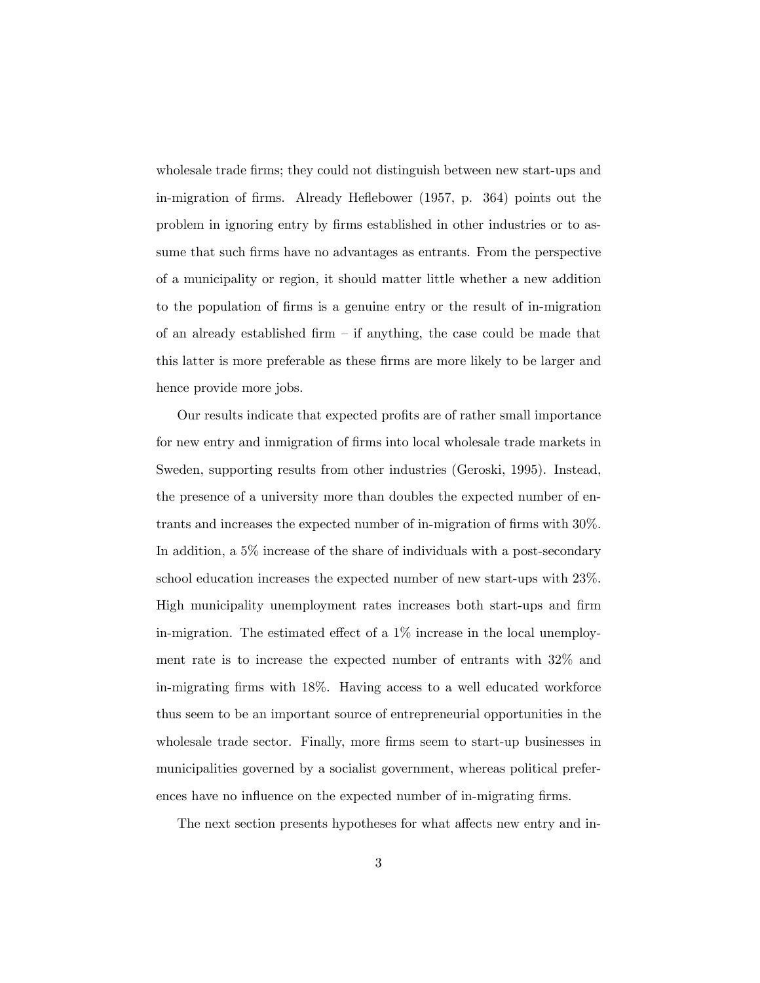wholesale trade firms; they could not distinguish between new start-ups and in-migration of firms. Already Heflebower (1957, p. 364) points out the problem in ignoring entry by Örms established in other industries or to assume that such firms have no advantages as entrants. From the perspective of a municipality or region, it should matter little whether a new addition to the population of Örms is a genuine entry or the result of in-migration of an already established firm  $-$  if anything, the case could be made that this latter is more preferable as these firms are more likely to be larger and hence provide more jobs.

Our results indicate that expected profits are of rather small importance for new entry and inmigration of firms into local wholesale trade markets in Sweden, supporting results from other industries (Geroski, 1995). Instead, the presence of a university more than doubles the expected number of entrants and increases the expected number of in-migration of firms with  $30\%$ . In addition, a 5% increase of the share of individuals with a post-secondary school education increases the expected number of new start-ups with 23%. High municipality unemployment rates increases both start-ups and firm in-migration. The estimated effect of a  $1\%$  increase in the local unemployment rate is to increase the expected number of entrants with 32% and in-migrating Örms with 18%. Having access to a well educated workforce thus seem to be an important source of entrepreneurial opportunities in the wholesale trade sector. Finally, more firms seem to start-up businesses in municipalities governed by a socialist government, whereas political preferences have no influence on the expected number of in-migrating firms.

The next section presents hypotheses for what affects new entry and in-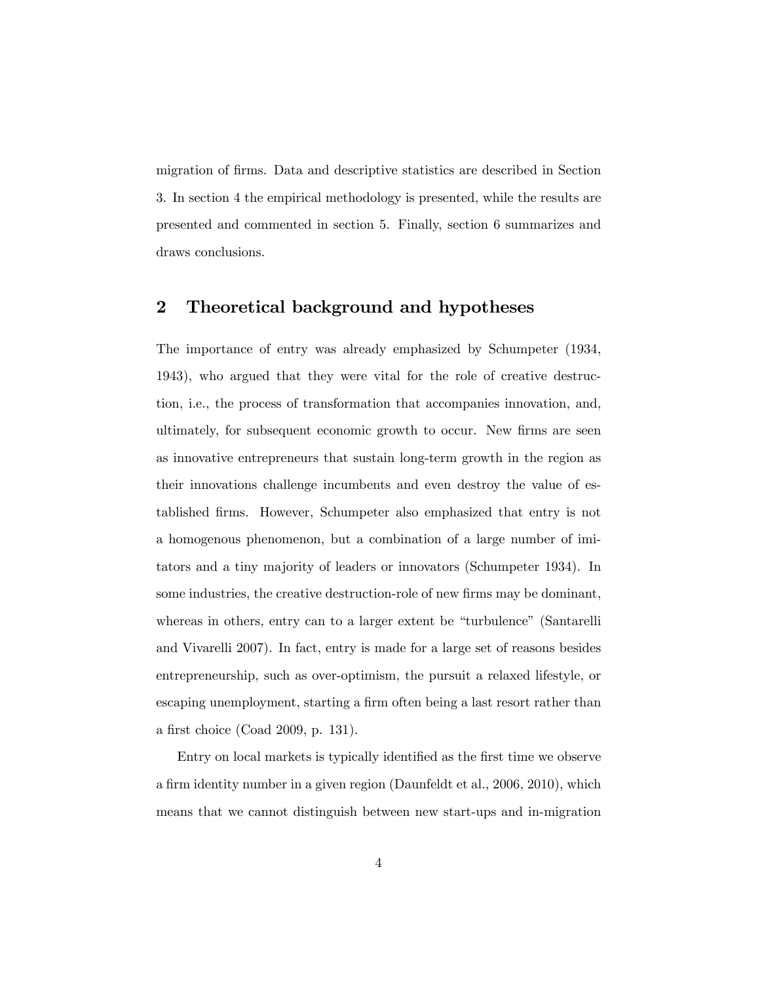migration of firms. Data and descriptive statistics are described in Section 3. In section 4 the empirical methodology is presented, while the results are presented and commented in section 5. Finally, section 6 summarizes and draws conclusions.

## 2 Theoretical background and hypotheses

The importance of entry was already emphasized by Schumpeter (1934, 1943), who argued that they were vital for the role of creative destruction, i.e., the process of transformation that accompanies innovation, and, ultimately, for subsequent economic growth to occur. New firms are seen as innovative entrepreneurs that sustain long-term growth in the region as their innovations challenge incumbents and even destroy the value of established Örms. However, Schumpeter also emphasized that entry is not a homogenous phenomenon, but a combination of a large number of imitators and a tiny majority of leaders or innovators (Schumpeter 1934). In some industries, the creative destruction-role of new firms may be dominant, whereas in others, entry can to a larger extent be "turbulence" (Santarelli and Vivarelli 2007). In fact, entry is made for a large set of reasons besides entrepreneurship, such as over-optimism, the pursuit a relaxed lifestyle, or escaping unemployment, starting a firm often being a last resort rather than a first choice (Coad 2009, p. 131).

Entry on local markets is typically identified as the first time we observe a firm identity number in a given region (Daunfeldt et al., 2006, 2010), which means that we cannot distinguish between new start-ups and in-migration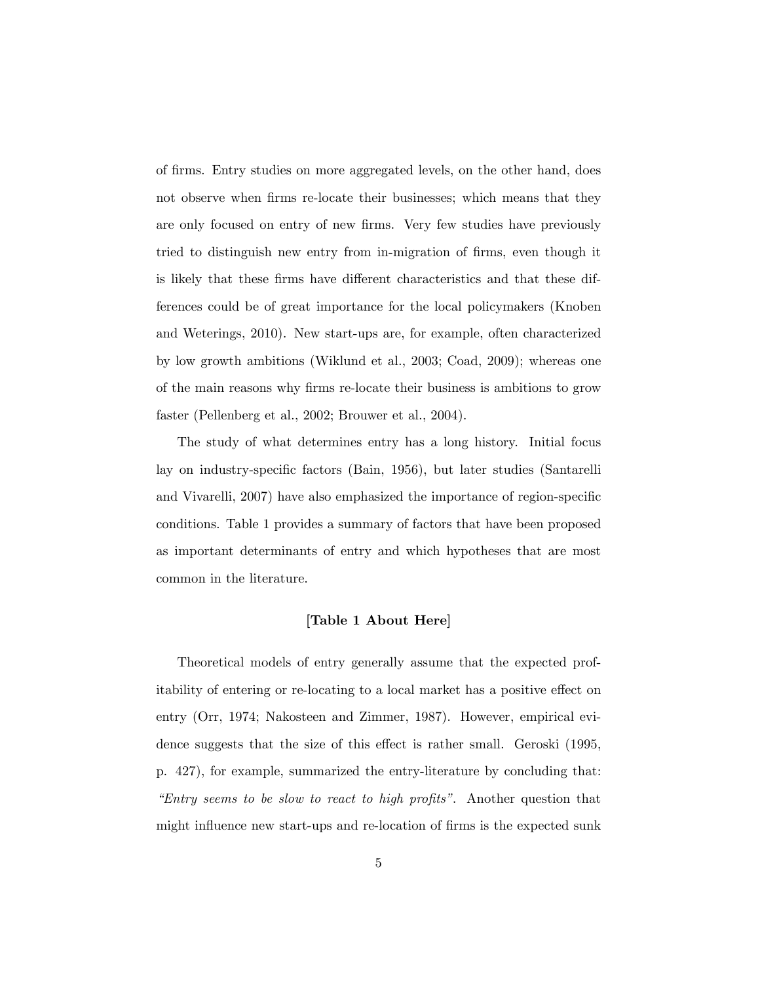of firms. Entry studies on more aggregated levels, on the other hand, does not observe when firms re-locate their businesses; which means that they are only focused on entry of new firms. Very few studies have previously tried to distinguish new entry from in-migration of firms, even though it is likely that these firms have different characteristics and that these differences could be of great importance for the local policymakers (Knoben and Weterings, 2010). New start-ups are, for example, often characterized by low growth ambitions (Wiklund et al., 2003; Coad, 2009); whereas one of the main reasons why Örms re-locate their business is ambitions to grow faster (Pellenberg et al., 2002; Brouwer et al., 2004).

The study of what determines entry has a long history. Initial focus lay on industry-specific factors (Bain, 1956), but later studies (Santarelli and Vivarelli, 2007) have also emphasized the importance of region-specific conditions. Table 1 provides a summary of factors that have been proposed as important determinants of entry and which hypotheses that are most common in the literature.

#### [Table 1 About Here]

Theoretical models of entry generally assume that the expected profitability of entering or re-locating to a local market has a positive effect on entry (Orr, 1974; Nakosteen and Zimmer, 1987). However, empirical evidence suggests that the size of this effect is rather small. Geroski (1995, p. 427), for example, summarized the entry-literature by concluding that: "Entry seems to be slow to react to high profits". Another question that might influence new start-ups and re-location of firms is the expected sunk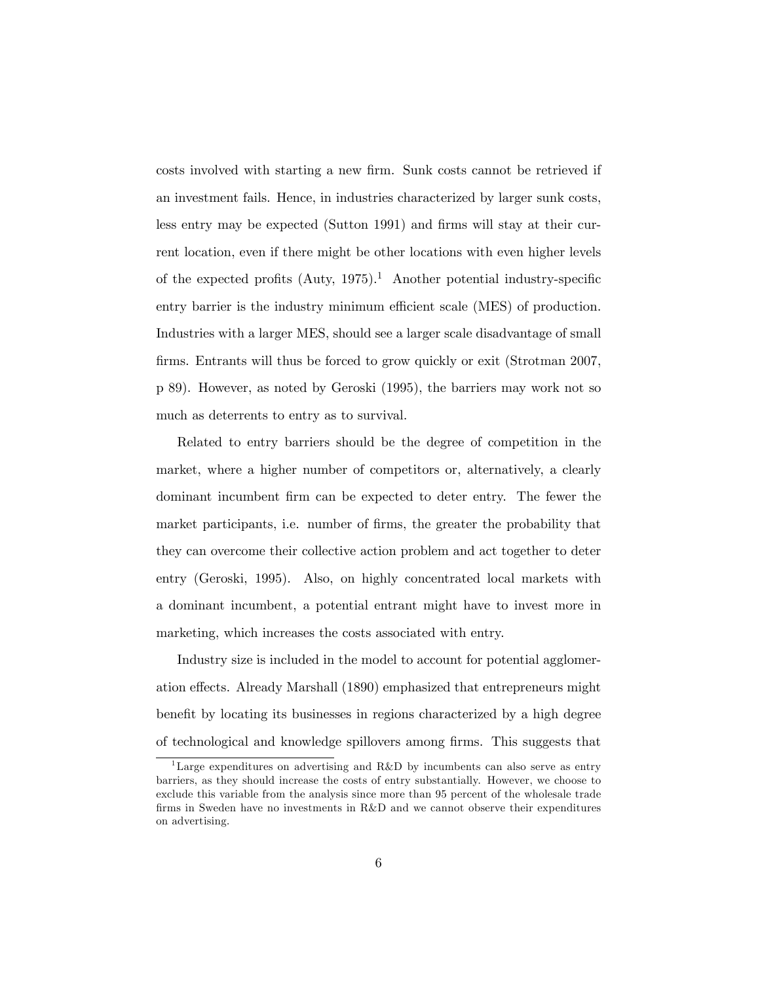costs involved with starting a new firm. Sunk costs cannot be retrieved if an investment fails. Hence, in industries characterized by larger sunk costs, less entry may be expected (Sutton 1991) and firms will stay at their current location, even if there might be other locations with even higher levels of the expected profits  $(Auty, 1975).<sup>1</sup>$  Another potential industry-specific entry barrier is the industry minimum efficient scale (MES) of production. Industries with a larger MES, should see a larger scale disadvantage of small firms. Entrants will thus be forced to grow quickly or exit (Strotman 2007, p 89). However, as noted by Geroski (1995), the barriers may work not so much as deterrents to entry as to survival.

Related to entry barriers should be the degree of competition in the market, where a higher number of competitors or, alternatively, a clearly dominant incumbent Örm can be expected to deter entry. The fewer the market participants, i.e. number of firms, the greater the probability that they can overcome their collective action problem and act together to deter entry (Geroski, 1995). Also, on highly concentrated local markets with a dominant incumbent, a potential entrant might have to invest more in marketing, which increases the costs associated with entry.

Industry size is included in the model to account for potential agglomeration effects. Already Marshall (1890) emphasized that entrepreneurs might benefit by locating its businesses in regions characterized by a high degree of technological and knowledge spillovers among Örms. This suggests that

<sup>&</sup>lt;sup>1</sup>Large expenditures on advertising and R&D by incumbents can also serve as entry barriers, as they should increase the costs of entry substantially. However, we choose to exclude this variable from the analysis since more than 95 percent of the wholesale trade firms in Sweden have no investments in R&D and we cannot observe their expenditures on advertising.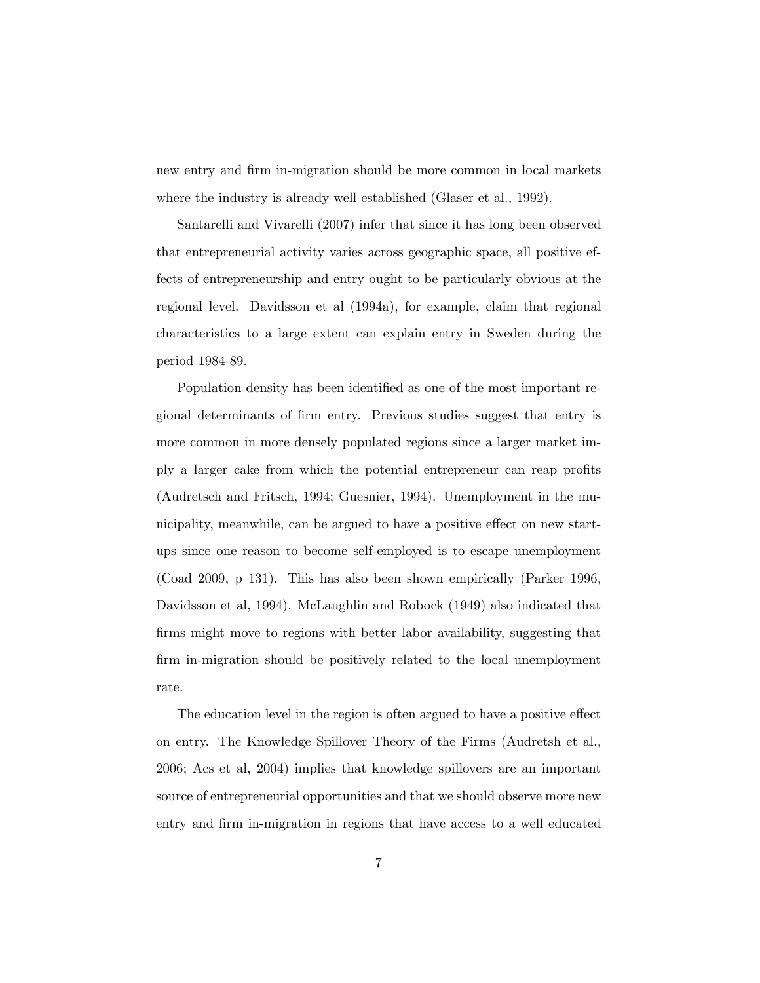new entry and firm in-migration should be more common in local markets where the industry is already well established (Glaser et al., 1992).

Santarelli and Vivarelli (2007) infer that since it has long been observed that entrepreneurial activity varies across geographic space, all positive effects of entrepreneurship and entry ought to be particularly obvious at the regional level. Davidsson et al (1994a), for example, claim that regional characteristics to a large extent can explain entry in Sweden during the period 1984-89.

Population density has been identified as one of the most important regional determinants of Örm entry. Previous studies suggest that entry is more common in more densely populated regions since a larger market imply a larger cake from which the potential entrepreneur can reap profits (Audretsch and Fritsch, 1994; Guesnier, 1994). Unemployment in the municipality, meanwhile, can be argued to have a positive effect on new startups since one reason to become self-employed is to escape unemployment (Coad 2009, p 131). This has also been shown empirically (Parker 1996, Davidsson et al, 1994). McLaughlin and Robock (1949) also indicated that firms might move to regions with better labor availability, suggesting that firm in-migration should be positively related to the local unemployment rate.

The education level in the region is often argued to have a positive effect on entry. The Knowledge Spillover Theory of the Firms (Audretsh et al., 2006; Acs et al, 2004) implies that knowledge spillovers are an important source of entrepreneurial opportunities and that we should observe more new entry and firm in-migration in regions that have access to a well educated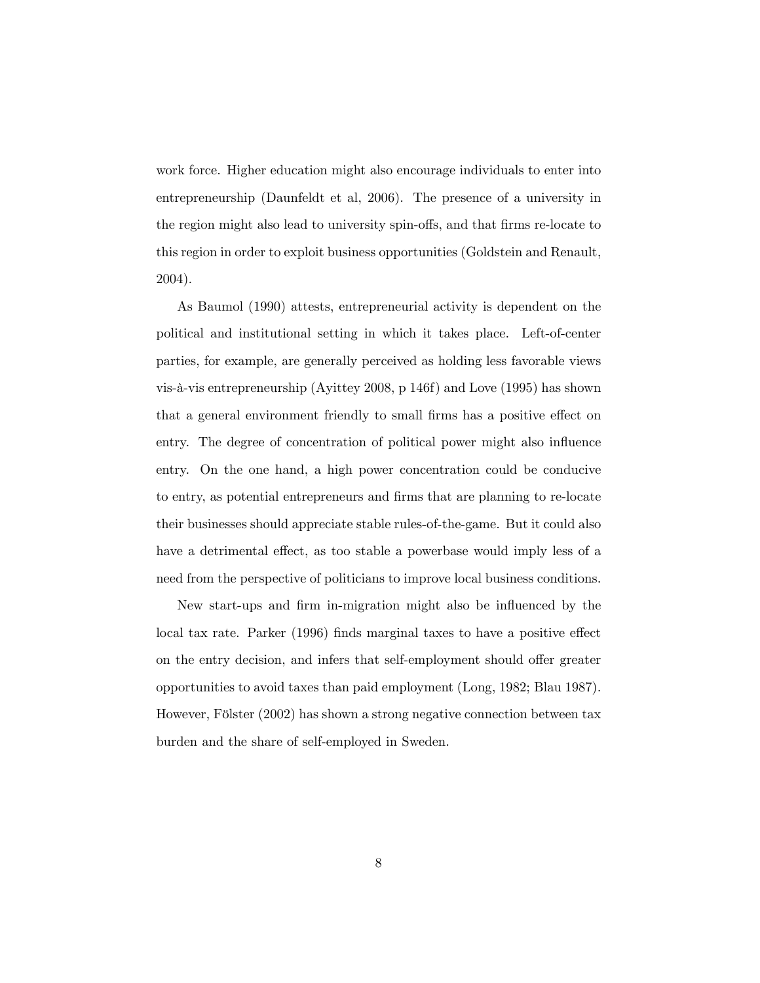work force. Higher education might also encourage individuals to enter into entrepreneurship (Daunfeldt et al, 2006). The presence of a university in the region might also lead to university spin-offs, and that firms re-locate to this region in order to exploit business opportunities (Goldstein and Renault, 2004).

As Baumol (1990) attests, entrepreneurial activity is dependent on the political and institutional setting in which it takes place. Left-of-center parties, for example, are generally perceived as holding less favorable views vis-‡-vis entrepreneurship (Ayittey 2008, p 146f) and Love (1995) has shown that a general environment friendly to small firms has a positive effect on entry. The degree of concentration of political power might also influence entry. On the one hand, a high power concentration could be conducive to entry, as potential entrepreneurs and Örms that are planning to re-locate their businesses should appreciate stable rules-of-the-game. But it could also have a detrimental effect, as too stable a powerbase would imply less of a need from the perspective of politicians to improve local business conditions.

New start-ups and firm in-migration might also be influenced by the local tax rate. Parker (1996) finds marginal taxes to have a positive effect on the entry decision, and infers that self-employment should offer greater opportunities to avoid taxes than paid employment (Long, 1982; Blau 1987). However, Fölster (2002) has shown a strong negative connection between tax burden and the share of self-employed in Sweden.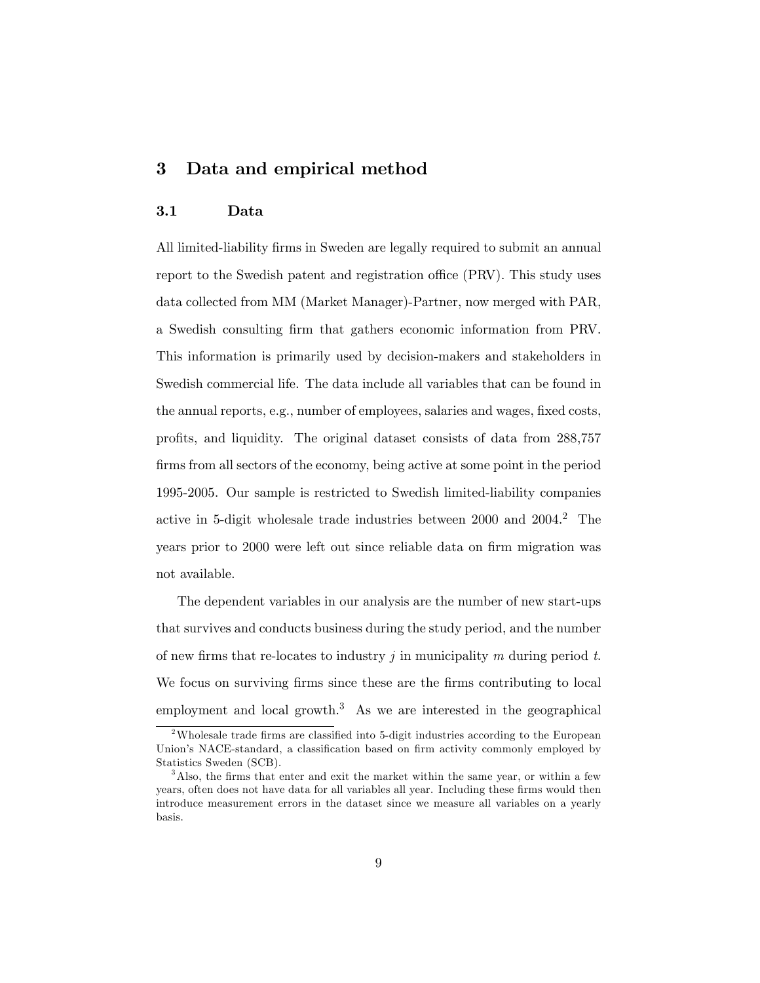## 3 Data and empirical method

#### 3.1 Data

All limited-liability firms in Sweden are legally required to submit an annual report to the Swedish patent and registration office (PRV). This study uses data collected from MM (Market Manager)-Partner, now merged with PAR, a Swedish consulting Örm that gathers economic information from PRV. This information is primarily used by decision-makers and stakeholders in Swedish commercial life. The data include all variables that can be found in the annual reports, e.g., number of employees, salaries and wages, fixed costs, proÖts, and liquidity. The original dataset consists of data from 288,757 firms from all sectors of the economy, being active at some point in the period 1995-2005. Our sample is restricted to Swedish limited-liability companies active in 5-digit wholesale trade industries between 2000 and 2004.<sup>2</sup> The years prior to 2000 were left out since reliable data on firm migration was not available.

The dependent variables in our analysis are the number of new start-ups that survives and conducts business during the study period, and the number of new firms that re-locates to industry j in municipality m during period  $t$ . We focus on surviving firms since these are the firms contributing to local employment and local growth.<sup>3</sup> As we are interested in the geographical

 $2$ Wholesale trade firms are classified into 5-digit industries according to the European Union's NACE-standard, a classification based on firm activity commonly employed by Statistics Sweden (SCB).

<sup>&</sup>lt;sup>3</sup>Also, the firms that enter and exit the market within the same year, or within a few years, often does not have data for all variables all year. Including these firms would then introduce measurement errors in the dataset since we measure all variables on a yearly basis.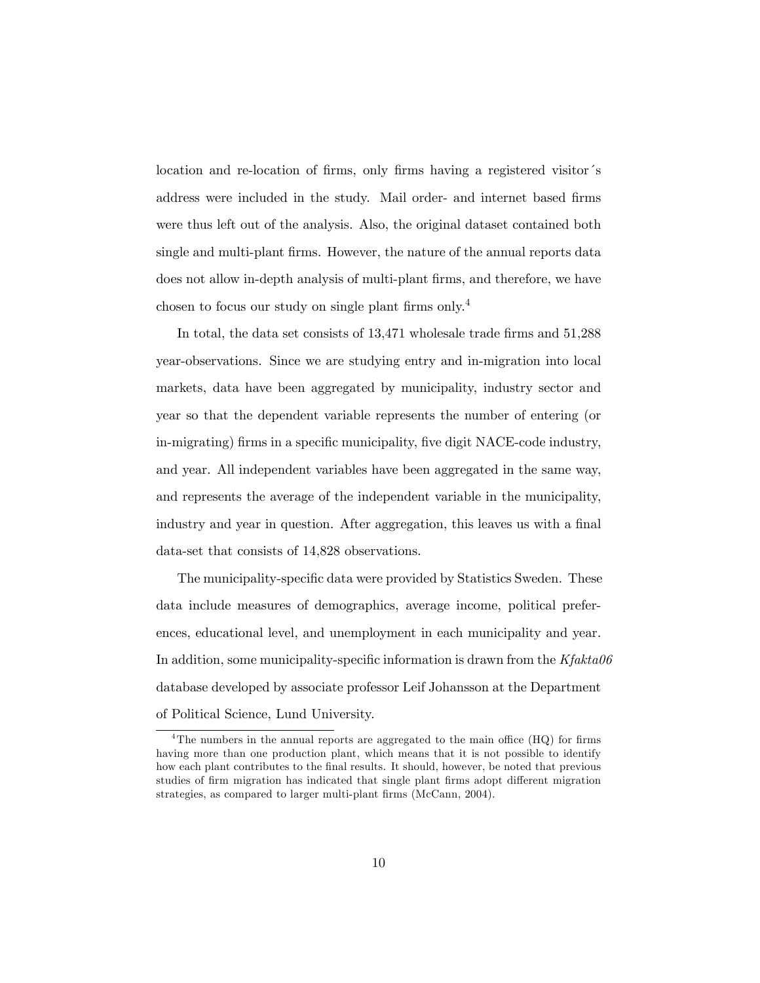location and re-location of firms, only firms having a registered visitor's address were included in the study. Mail order- and internet based firms were thus left out of the analysis. Also, the original dataset contained both single and multi-plant firms. However, the nature of the annual reports data does not allow in-depth analysis of multi-plant firms, and therefore, we have chosen to focus our study on single plant firms only.<sup>4</sup>

In total, the data set consists of 13,471 wholesale trade firms and 51,288 year-observations. Since we are studying entry and in-migration into local markets, data have been aggregated by municipality, industry sector and year so that the dependent variable represents the number of entering (or in-migrating) firms in a specific municipality, five digit NACE-code industry, and year. All independent variables have been aggregated in the same way, and represents the average of the independent variable in the municipality, industry and year in question. After aggregation, this leaves us with a final data-set that consists of 14,828 observations.

The municipality-specific data were provided by Statistics Sweden. These data include measures of demographics, average income, political preferences, educational level, and unemployment in each municipality and year. In addition, some municipality-specific information is drawn from the  $Kfakta06$ database developed by associate professor Leif Johansson at the Department of Political Science, Lund University.

 $4$ The numbers in the annual reports are aggregated to the main office (HQ) for firms having more than one production plant, which means that it is not possible to identify how each plant contributes to the final results. It should, however, be noted that previous studies of firm migration has indicated that single plant firms adopt different migration strategies, as compared to larger multi-plant firms (McCann, 2004).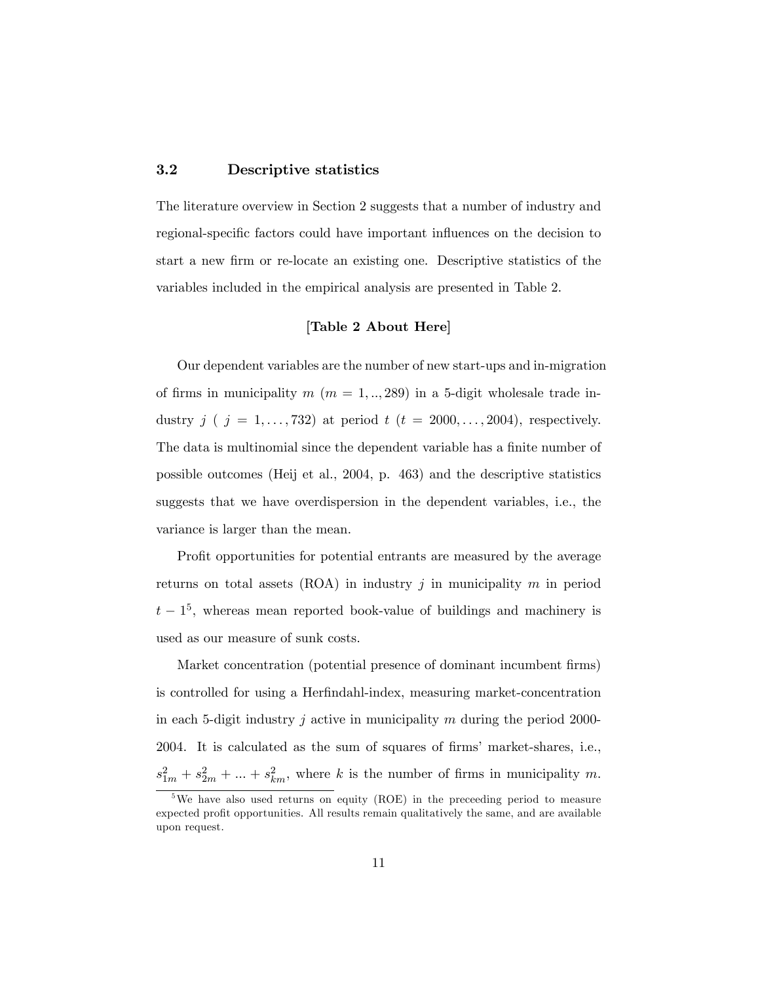#### 3.2 Descriptive statistics

The literature overview in Section 2 suggests that a number of industry and regional-specific factors could have important influences on the decision to start a new Örm or re-locate an existing one. Descriptive statistics of the variables included in the empirical analysis are presented in Table 2.

#### [Table 2 About Here]

Our dependent variables are the number of new start-ups and in-migration of firms in municipality  $m (m = 1, \ldots, 289)$  in a 5-digit wholesale trade industry  $j$  (  $j = 1, \ldots, 732$ ) at period  $t$  ( $t = 2000, \ldots, 2004$ ), respectively. The data is multinomial since the dependent variable has a finite number of possible outcomes (Heij et al., 2004, p. 463) and the descriptive statistics suggests that we have overdispersion in the dependent variables, i.e., the variance is larger than the mean.

Profit opportunities for potential entrants are measured by the average returns on total assets (ROA) in industry j in municipality  $m$  in period  $t-1^5$ , whereas mean reported book-value of buildings and machinery is used as our measure of sunk costs.

Market concentration (potential presence of dominant incumbent firms) is controlled for using a Herfindahl-index, measuring market-concentration in each 5-digit industry j active in municipality m during the period 2000-2004. It is calculated as the sum of squares of Örmsí market-shares, i.e.,  $s_{1m}^2 + s_{2m}^2 + \dots + s_{km}^2$ , where k is the number of firms in municipality m.

<sup>&</sup>lt;sup>5</sup>We have also used returns on equity (ROE) in the preceeding period to measure expected profit opportunities. All results remain qualitatively the same, and are available upon request.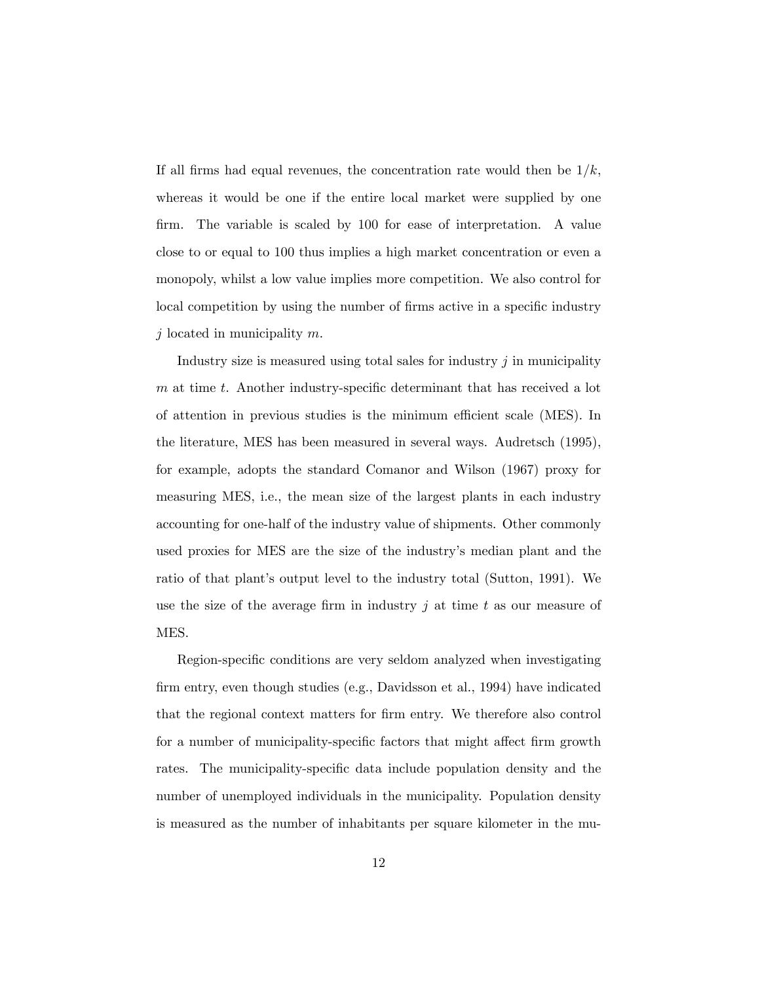If all firms had equal revenues, the concentration rate would then be  $1/k$ , whereas it would be one if the entire local market were supplied by one firm. The variable is scaled by 100 for ease of interpretation. A value close to or equal to 100 thus implies a high market concentration or even a monopoly, whilst a low value implies more competition. We also control for local competition by using the number of firms active in a specific industry j located in municipality  $m$ .

Industry size is measured using total sales for industry  $j$  in municipality  $m$  at time  $t$ . Another industry-specific determinant that has received a lot of attention in previous studies is the minimum efficient scale (MES). In the literature, MES has been measured in several ways. Audretsch (1995), for example, adopts the standard Comanor and Wilson (1967) proxy for measuring MES, i.e., the mean size of the largest plants in each industry accounting for one-half of the industry value of shipments. Other commonly used proxies for MES are the size of the industry's median plant and the ratio of that plant's output level to the industry total (Sutton, 1991). We use the size of the average firm in industry j at time t as our measure of MES.

Region-specific conditions are very seldom analyzed when investigating Örm entry, even though studies (e.g., Davidsson et al., 1994) have indicated that the regional context matters for Örm entry. We therefore also control for a number of municipality-specific factors that might affect firm growth rates. The municipality-specific data include population density and the number of unemployed individuals in the municipality. Population density is measured as the number of inhabitants per square kilometer in the mu-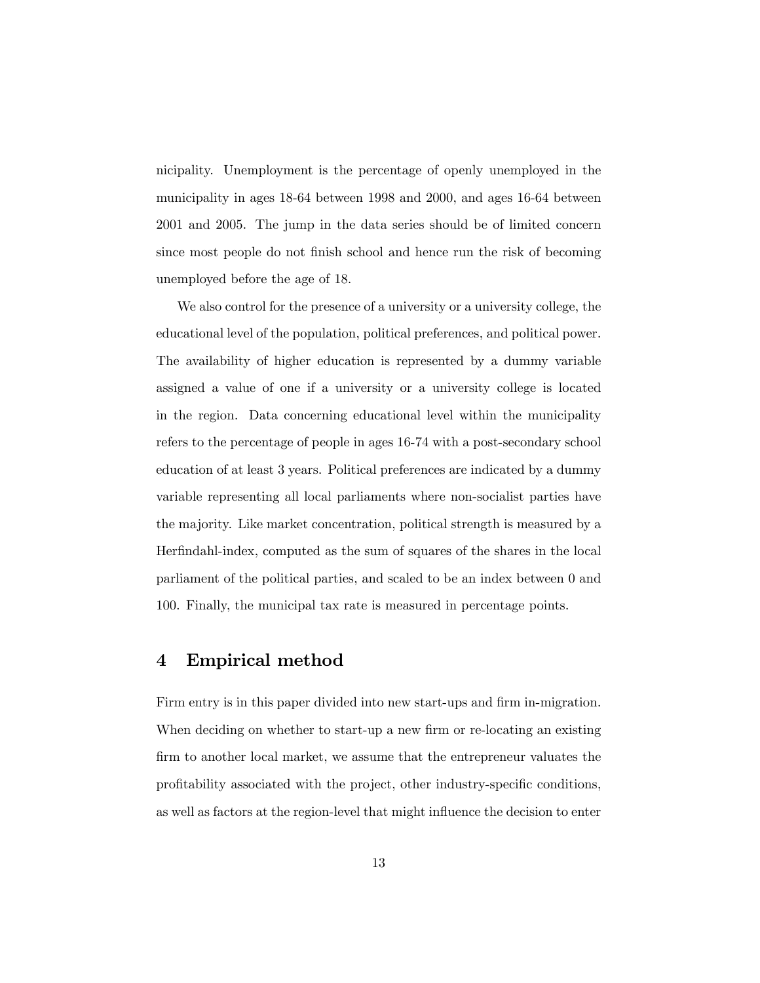nicipality. Unemployment is the percentage of openly unemployed in the municipality in ages 18-64 between 1998 and 2000, and ages 16-64 between 2001 and 2005. The jump in the data series should be of limited concern since most people do not finish school and hence run the risk of becoming unemployed before the age of 18.

We also control for the presence of a university or a university college, the educational level of the population, political preferences, and political power. The availability of higher education is represented by a dummy variable assigned a value of one if a university or a university college is located in the region. Data concerning educational level within the municipality refers to the percentage of people in ages 16-74 with a post-secondary school education of at least 3 years. Political preferences are indicated by a dummy variable representing all local parliaments where non-socialist parties have the majority. Like market concentration, political strength is measured by a Herfindahl-index, computed as the sum of squares of the shares in the local parliament of the political parties, and scaled to be an index between 0 and 100. Finally, the municipal tax rate is measured in percentage points.

### 4 Empirical method

Firm entry is in this paper divided into new start-ups and firm in-migration. When deciding on whether to start-up a new firm or re-locating an existing firm to another local market, we assume that the entrepreneur valuates the profitability associated with the project, other industry-specific conditions, as well as factors at the region-level that might influence the decision to enter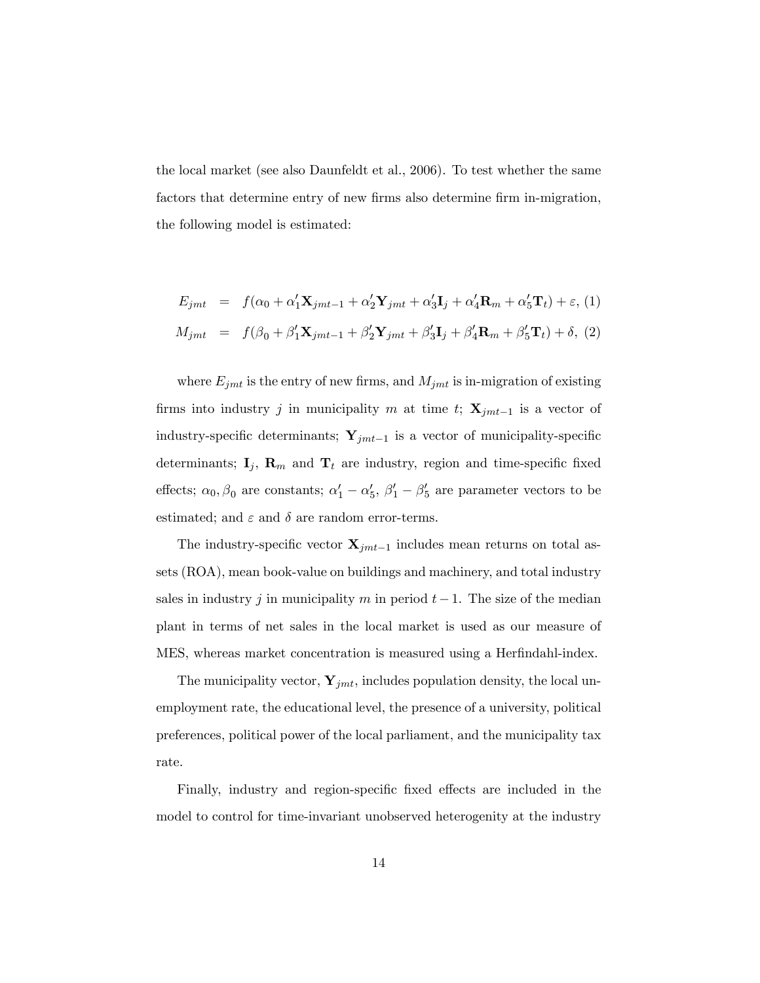the local market (see also Daunfeldt et al., 2006). To test whether the same factors that determine entry of new firms also determine firm in-migration, the following model is estimated:

$$
E_{jmt} = f(\alpha_0 + \alpha'_1 \mathbf{X}_{jmt-1} + \alpha'_2 \mathbf{Y}_{jmt} + \alpha'_3 \mathbf{I}_j + \alpha'_4 \mathbf{R}_m + \alpha'_5 \mathbf{T}_t) + \varepsilon, (1)
$$
  

$$
M_{jmt} = f(\beta_0 + \beta'_1 \mathbf{X}_{jmt-1} + \beta'_2 \mathbf{Y}_{jmt} + \beta'_3 \mathbf{I}_j + \beta'_4 \mathbf{R}_m + \beta'_5 \mathbf{T}_t) + \delta, (2)
$$

where  $E_{jmt}$  is the entry of new firms, and  $M_{jmt}$  is in-migration of existing firms into industry j in municipality m at time t;  $\mathbf{X}_{jmt-1}$  is a vector of industry-specific determinants;  $\mathbf{Y}_{jmt-1}$  is a vector of municipality-specific determinants;  $I_j$ ,  $R_m$  and  $T_t$  are industry, region and time-specific fixed effects;  $\alpha_0$ ,  $\beta_0$  are constants;  $\alpha'_1 - \alpha'_5$ ,  $\beta'_1 - \beta'_5$  are parameter vectors to be estimated; and  $\varepsilon$  and  $\delta$  are random error-terms.

The industry-specific vector  $\mathbf{X}_{jmt-1}$  includes mean returns on total assets (ROA), mean book-value on buildings and machinery, and total industry sales in industry j in municipality m in period  $t-1$ . The size of the median plant in terms of net sales in the local market is used as our measure of MES, whereas market concentration is measured using a Herfindahl-index.

The municipality vector,  $\mathbf{Y}_{jmt}$ , includes population density, the local unemployment rate, the educational level, the presence of a university, political preferences, political power of the local parliament, and the municipality tax rate.

Finally, industry and region-specific fixed effects are included in the model to control for time-invariant unobserved heterogenity at the industry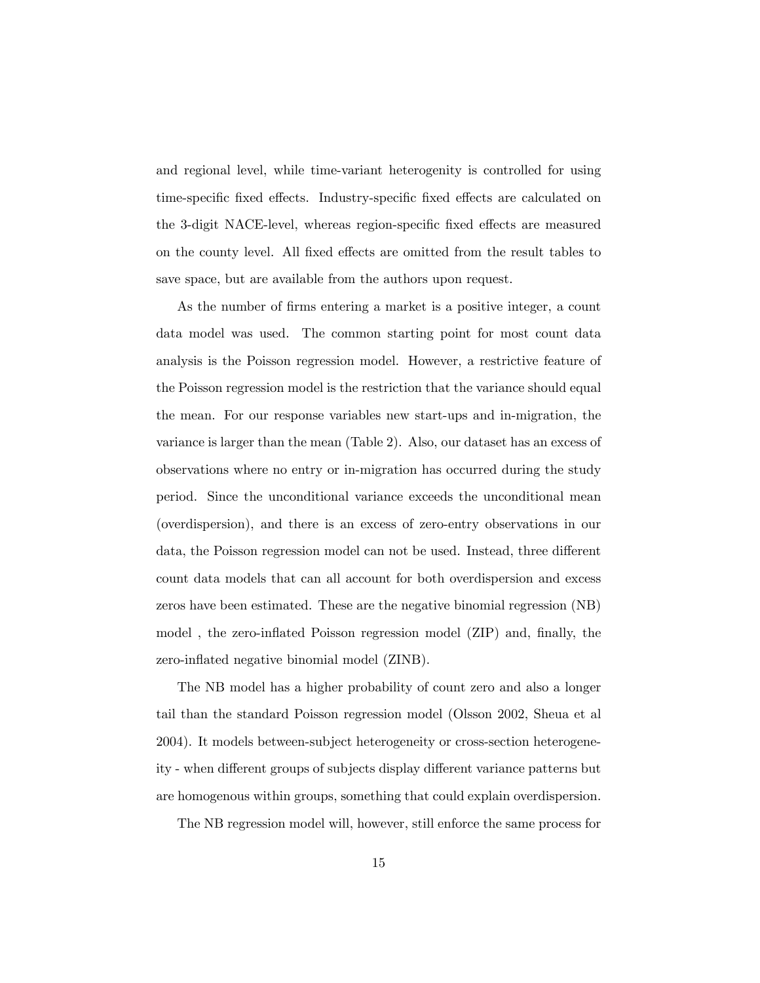and regional level, while time-variant heterogenity is controlled for using time-specific fixed effects. Industry-specific fixed effects are calculated on the 3-digit NACE-level, whereas region-specific fixed effects are measured on the county level. All fixed effects are omitted from the result tables to save space, but are available from the authors upon request.

As the number of firms entering a market is a positive integer, a count data model was used. The common starting point for most count data analysis is the Poisson regression model. However, a restrictive feature of the Poisson regression model is the restriction that the variance should equal the mean. For our response variables new start-ups and in-migration, the variance is larger than the mean (Table 2). Also, our dataset has an excess of observations where no entry or in-migration has occurred during the study period. Since the unconditional variance exceeds the unconditional mean (overdispersion), and there is an excess of zero-entry observations in our data, the Poisson regression model can not be used. Instead, three different count data models that can all account for both overdispersion and excess zeros have been estimated. These are the negative binomial regression (NB) model, the zero-inflated Poisson regression model (ZIP) and, finally, the zero-inflated negative binomial model (ZINB).

The NB model has a higher probability of count zero and also a longer tail than the standard Poisson regression model (Olsson 2002, Sheua et al 2004). It models between-subject heterogeneity or cross-section heterogeneity - when different groups of subjects display different variance patterns but are homogenous within groups, something that could explain overdispersion.

The NB regression model will, however, still enforce the same process for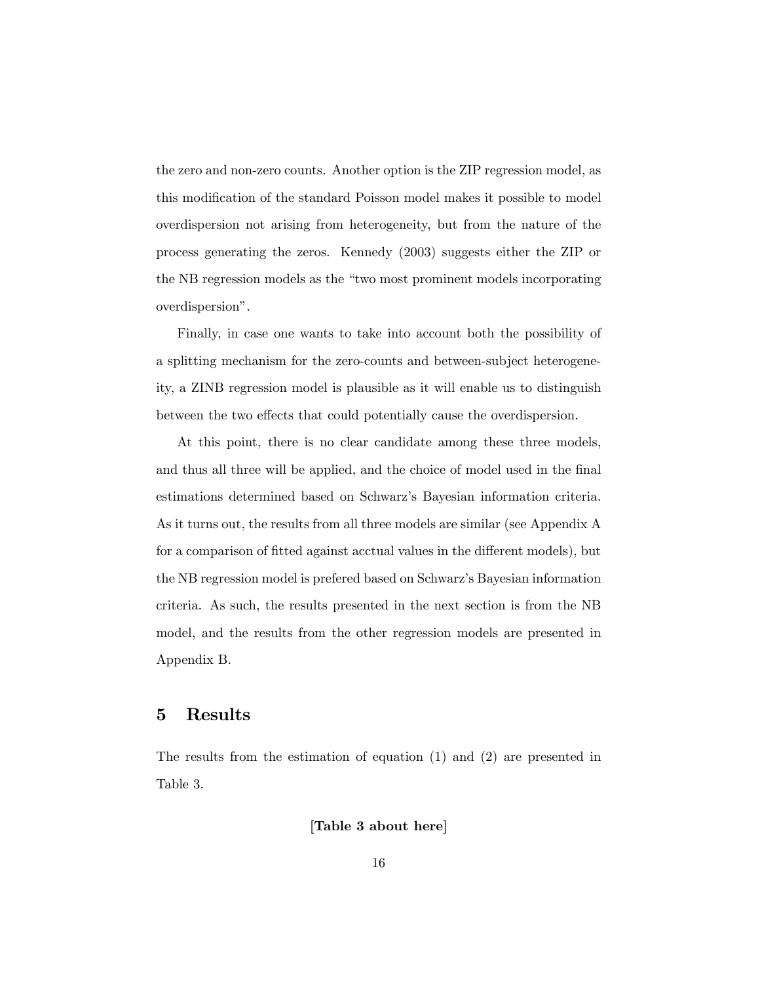the zero and non-zero counts. Another option is the ZIP regression model, as this modification of the standard Poisson model makes it possible to model overdispersion not arising from heterogeneity, but from the nature of the process generating the zeros. Kennedy (2003) suggests either the ZIP or the NB regression models as the "two most prominent models incorporating overdispersion".

Finally, in case one wants to take into account both the possibility of a splitting mechanism for the zero-counts and between-subject heterogeneity, a ZINB regression model is plausible as it will enable us to distinguish between the two effects that could potentially cause the overdispersion.

At this point, there is no clear candidate among these three models, and thus all three will be applied, and the choice of model used in the final estimations determined based on Schwarzís Bayesian information criteria. As it turns out, the results from all three models are similar (see Appendix A for a comparison of fitted against acctual values in the different models), but the NB regression model is prefered based on Schwarzís Bayesian information criteria. As such, the results presented in the next section is from the NB model, and the results from the other regression models are presented in Appendix B.

## 5 Results

The results from the estimation of equation (1) and (2) are presented in Table 3.

[Table 3 about here]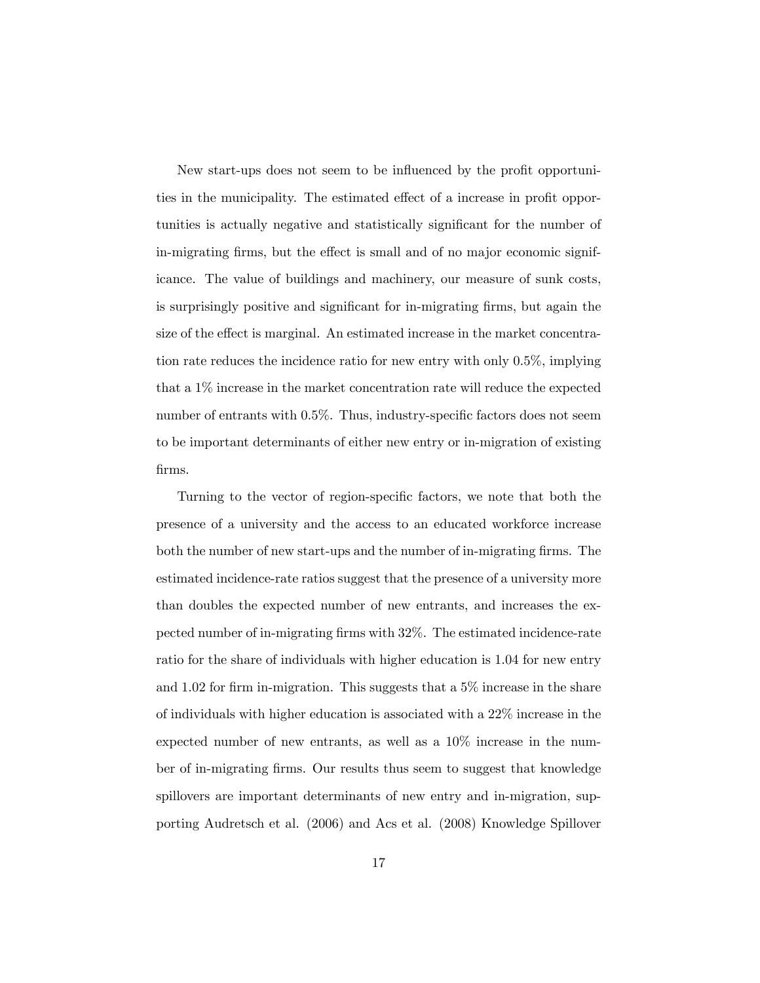New start-ups does not seem to be influenced by the profit opportunities in the municipality. The estimated effect of a increase in profit opportunities is actually negative and statistically significant for the number of in-migrating firms, but the effect is small and of no major economic significance. The value of buildings and machinery, our measure of sunk costs, is surprisingly positive and significant for in-migrating firms, but again the size of the effect is marginal. An estimated increase in the market concentration rate reduces the incidence ratio for new entry with only 0.5%, implying that a 1% increase in the market concentration rate will reduce the expected number of entrants with  $0.5\%$ . Thus, industry-specific factors does not seem to be important determinants of either new entry or in-migration of existing Örms.

Turning to the vector of region-specific factors, we note that both the presence of a university and the access to an educated workforce increase both the number of new start-ups and the number of in-migrating firms. The estimated incidence-rate ratios suggest that the presence of a university more than doubles the expected number of new entrants, and increases the expected number of in-migrating firms with 32%. The estimated incidence-rate ratio for the share of individuals with higher education is 1.04 for new entry and 1.02 for firm in-migration. This suggests that a  $5\%$  increase in the share of individuals with higher education is associated with a 22% increase in the expected number of new entrants, as well as a 10% increase in the number of in-migrating Örms. Our results thus seem to suggest that knowledge spillovers are important determinants of new entry and in-migration, supporting Audretsch et al. (2006) and Acs et al. (2008) Knowledge Spillover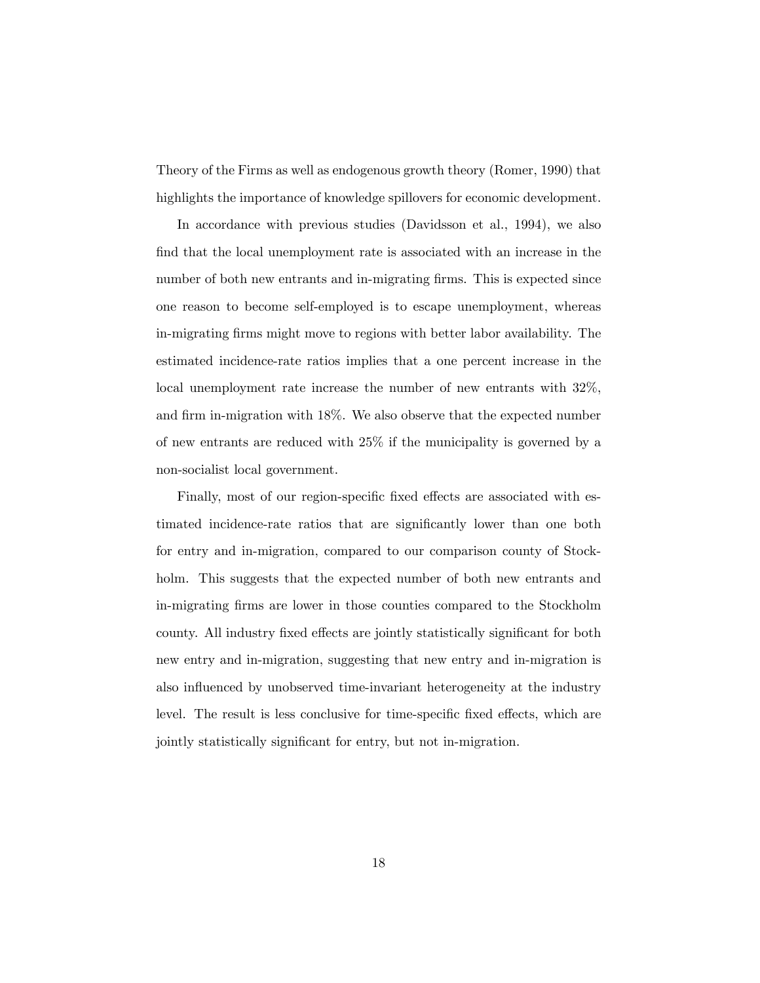Theory of the Firms as well as endogenous growth theory (Romer, 1990) that highlights the importance of knowledge spillovers for economic development.

In accordance with previous studies (Davidsson et al., 1994), we also find that the local unemployment rate is associated with an increase in the number of both new entrants and in-migrating firms. This is expected since one reason to become self-employed is to escape unemployment, whereas in-migrating Örms might move to regions with better labor availability. The estimated incidence-rate ratios implies that a one percent increase in the local unemployment rate increase the number of new entrants with 32%, and firm in-migration with 18%. We also observe that the expected number of new entrants are reduced with 25% if the municipality is governed by a non-socialist local government.

Finally, most of our region-specific fixed effects are associated with estimated incidence-rate ratios that are significantly lower than one both for entry and in-migration, compared to our comparison county of Stockholm. This suggests that the expected number of both new entrants and in-migrating Örms are lower in those counties compared to the Stockholm county. All industry fixed effects are jointly statistically significant for both new entry and in-migration, suggesting that new entry and in-migration is also influenced by unobserved time-invariant heterogeneity at the industry level. The result is less conclusive for time-specific fixed effects, which are jointly statistically significant for entry, but not in-migration.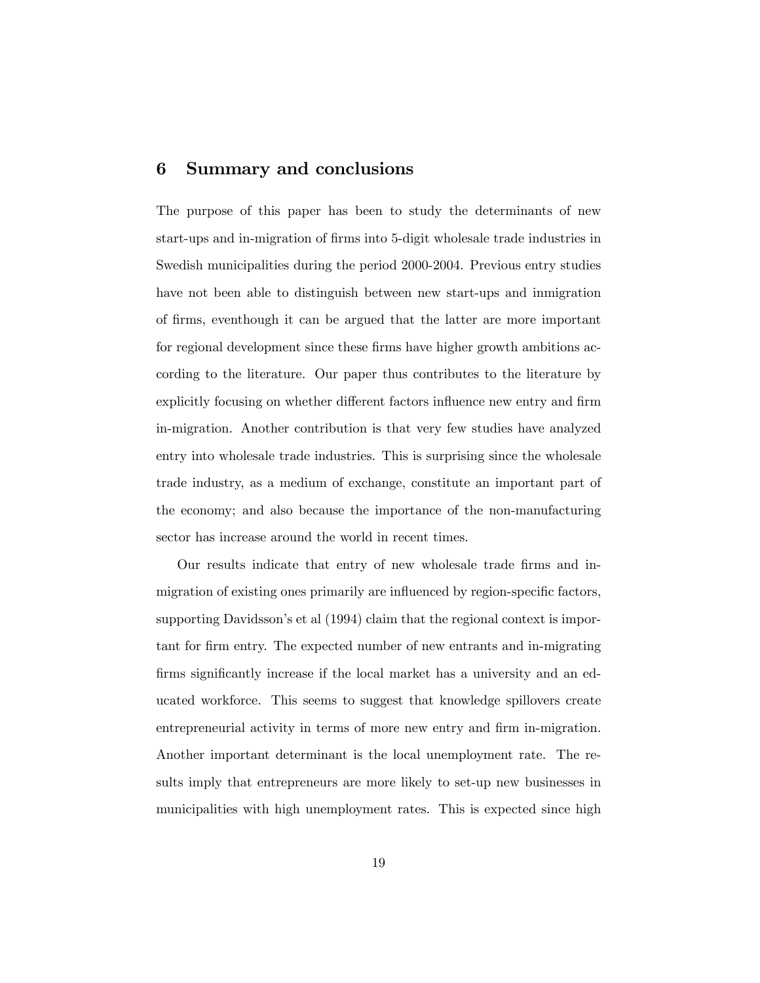## 6 Summary and conclusions

The purpose of this paper has been to study the determinants of new start-ups and in-migration of firms into 5-digit wholesale trade industries in Swedish municipalities during the period 2000-2004. Previous entry studies have not been able to distinguish between new start-ups and inmigration of Örms, eventhough it can be argued that the latter are more important for regional development since these firms have higher growth ambitions according to the literature. Our paper thus contributes to the literature by explicitly focusing on whether different factors influence new entry and firm in-migration. Another contribution is that very few studies have analyzed entry into wholesale trade industries. This is surprising since the wholesale trade industry, as a medium of exchange, constitute an important part of the economy; and also because the importance of the non-manufacturing sector has increase around the world in recent times.

Our results indicate that entry of new wholesale trade Örms and inmigration of existing ones primarily are influenced by region-specific factors, supporting Davidsson's et al (1994) claim that the regional context is important for firm entry. The expected number of new entrants and in-migrating firms significantly increase if the local market has a university and an educated workforce. This seems to suggest that knowledge spillovers create entrepreneurial activity in terms of more new entry and firm in-migration. Another important determinant is the local unemployment rate. The results imply that entrepreneurs are more likely to set-up new businesses in municipalities with high unemployment rates. This is expected since high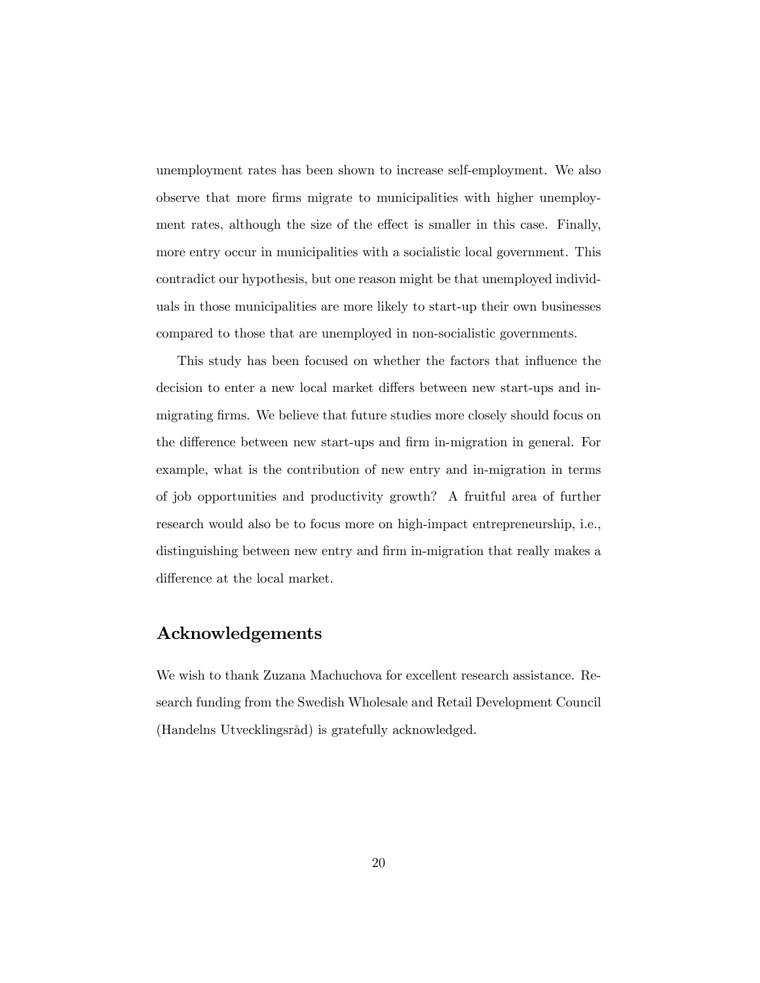unemployment rates has been shown to increase self-employment. We also observe that more firms migrate to municipalities with higher unemployment rates, although the size of the effect is smaller in this case. Finally, more entry occur in municipalities with a socialistic local government. This contradict our hypothesis, but one reason might be that unemployed individuals in those municipalities are more likely to start-up their own businesses compared to those that are unemployed in non-socialistic governments.

This study has been focused on whether the factors that influence the decision to enter a new local market differs between new start-ups and inmigrating firms. We believe that future studies more closely should focus on the difference between new start-ups and firm in-migration in general. For example, what is the contribution of new entry and in-migration in terms of job opportunities and productivity growth? A fruitful area of further research would also be to focus more on high-impact entrepreneurship, i.e., distinguishing between new entry and firm in-migration that really makes a difference at the local market.

## Acknowledgements

We wish to thank Zuzana Machuchova for excellent research assistance. Research funding from the Swedish Wholesale and Retail Development Council (Handelns UtvecklingsrÂd) is gratefully acknowledged.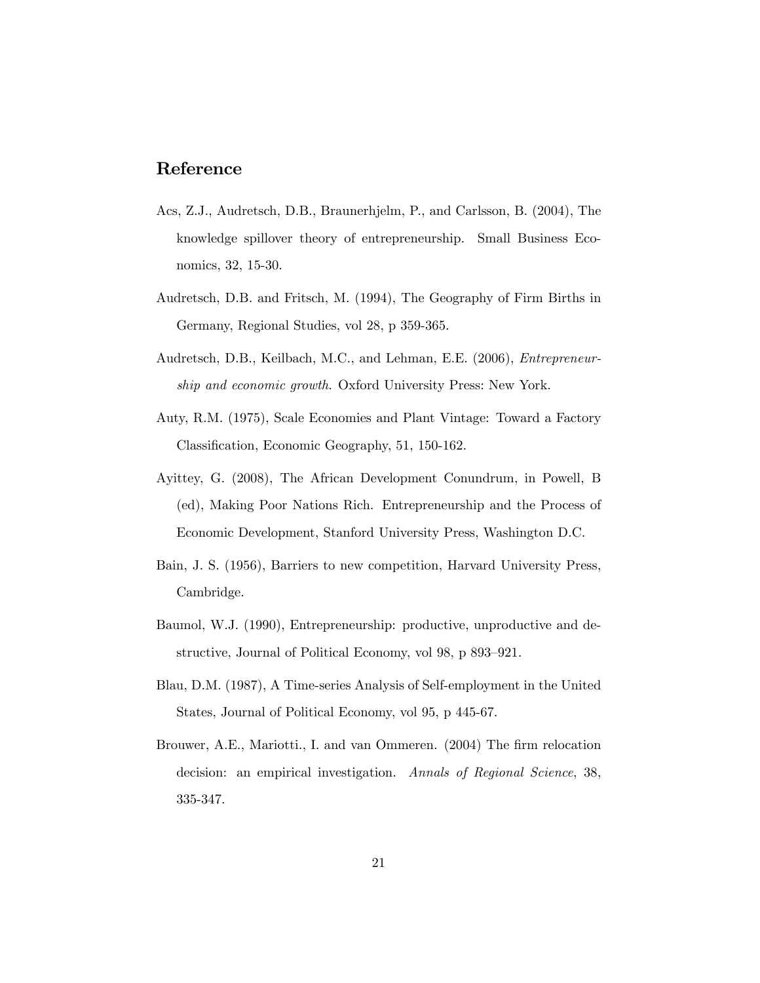## Reference

- Acs, Z.J., Audretsch, D.B., Braunerhjelm, P., and Carlsson, B. (2004), The knowledge spillover theory of entrepreneurship. Small Business Economics, 32, 15-30.
- Audretsch, D.B. and Fritsch, M. (1994), The Geography of Firm Births in Germany, Regional Studies, vol 28, p 359-365.
- Audretsch, D.B., Keilbach, M.C., and Lehman, E.E. (2006), Entrepreneurship and economic growth. Oxford University Press: New York.
- Auty, R.M. (1975), Scale Economies and Plant Vintage: Toward a Factory Classification, Economic Geography, 51, 150-162.
- Ayittey, G. (2008), The African Development Conundrum, in Powell, B (ed), Making Poor Nations Rich. Entrepreneurship and the Process of Economic Development, Stanford University Press, Washington D.C.
- Bain, J. S. (1956), Barriers to new competition, Harvard University Press, Cambridge.
- Baumol, W.J. (1990), Entrepreneurship: productive, unproductive and destructive, Journal of Political Economy, vol 98, p 893–921.
- Blau, D.M. (1987), A Time-series Analysis of Self-employment in the United States, Journal of Political Economy, vol 95, p 445-67.
- Brouwer, A.E., Mariotti., I. and van Ommeren. (2004) The firm relocation decision: an empirical investigation. Annals of Regional Science, 38, 335-347.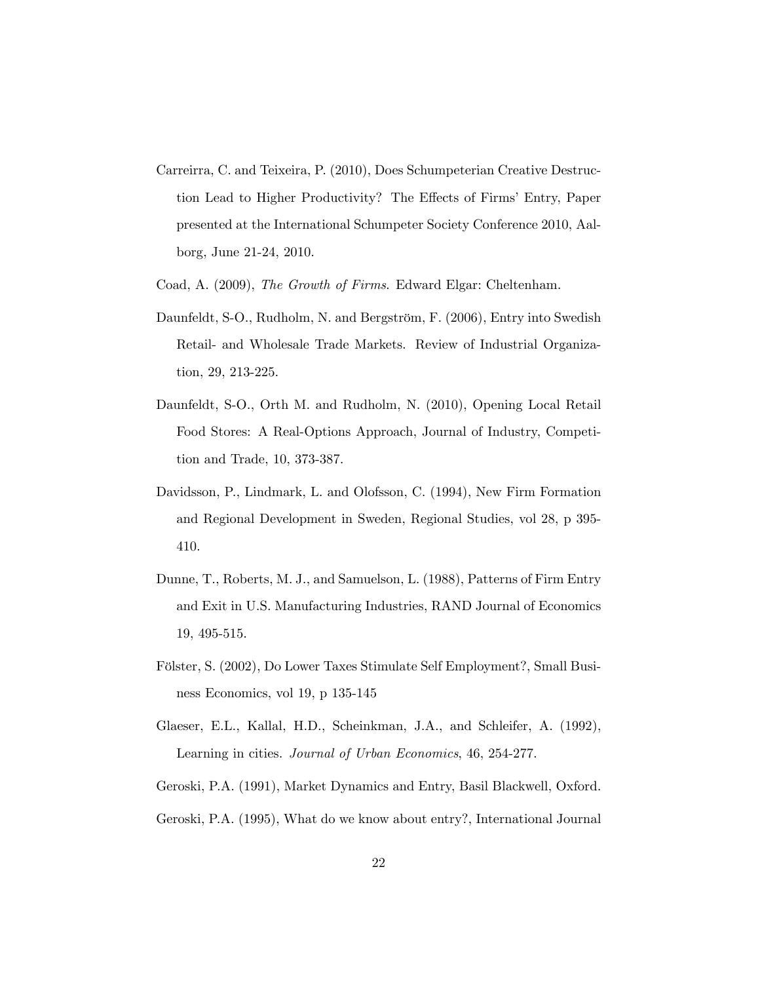- Carreirra, C. and Teixeira, P. (2010), Does Schumpeterian Creative Destruction Lead to Higher Productivity? The Effects of Firms' Entry, Paper presented at the International Schumpeter Society Conference 2010, Aalborg, June 21-24, 2010.
- Coad, A. (2009), The Growth of Firms. Edward Elgar: Cheltenham.
- Daunfeldt, S-O., Rudholm, N. and Bergström, F. (2006), Entry into Swedish Retail- and Wholesale Trade Markets. Review of Industrial Organization, 29, 213-225.
- Daunfeldt, S-O., Orth M. and Rudholm, N. (2010), Opening Local Retail Food Stores: A Real-Options Approach, Journal of Industry, Competition and Trade, 10, 373-387.
- Davidsson, P., Lindmark, L. and Olofsson, C. (1994), New Firm Formation and Regional Development in Sweden, Regional Studies, vol 28, p 395- 410.
- Dunne, T., Roberts, M. J., and Samuelson, L. (1988), Patterns of Firm Entry and Exit in U.S. Manufacturing Industries, RAND Journal of Economics 19, 495-515.
- Fölster, S. (2002), Do Lower Taxes Stimulate Self Employment?, Small Business Economics, vol 19, p 135-145
- Glaeser, E.L., Kallal, H.D., Scheinkman, J.A., and Schleifer, A. (1992), Learning in cities. Journal of Urban Economics, 46, 254-277.
- Geroski, P.A. (1991), Market Dynamics and Entry, Basil Blackwell, Oxford.
- Geroski, P.A. (1995), What do we know about entry?, International Journal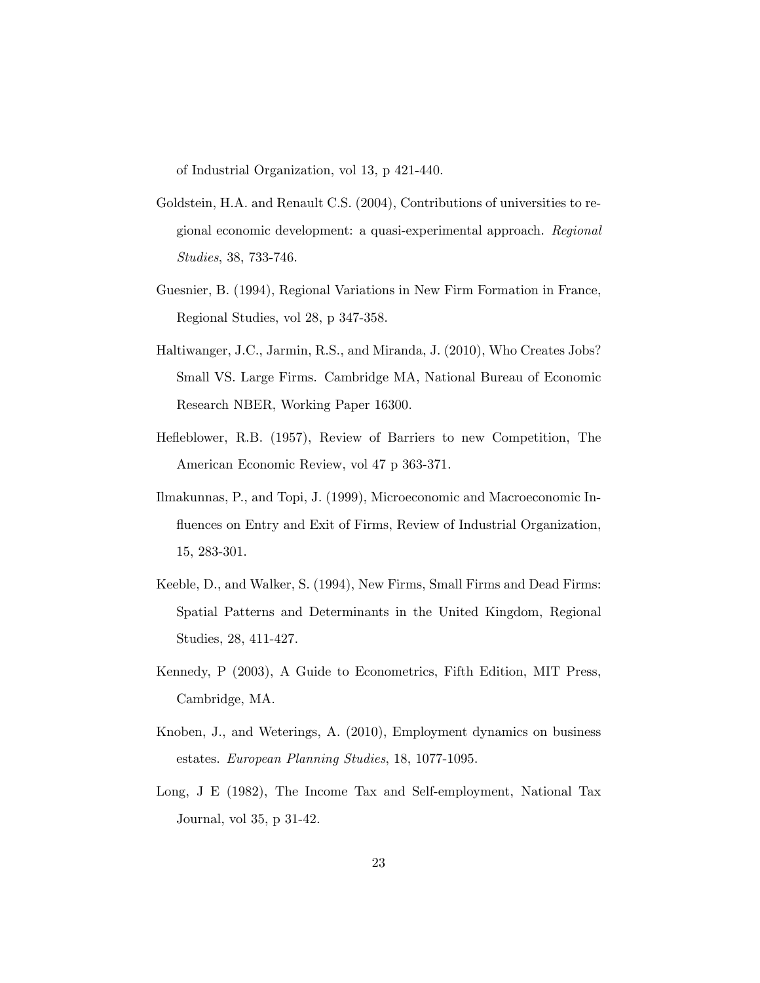of Industrial Organization, vol 13, p 421-440.

- Goldstein, H.A. and Renault C.S. (2004), Contributions of universities to regional economic development: a quasi-experimental approach. Regional Studies, 38, 733-746.
- Guesnier, B. (1994), Regional Variations in New Firm Formation in France, Regional Studies, vol 28, p 347-358.
- Haltiwanger, J.C., Jarmin, R.S., and Miranda, J. (2010), Who Creates Jobs? Small VS. Large Firms. Cambridge MA, National Bureau of Economic Research NBER, Working Paper 16300.
- Heáeblower, R.B. (1957), Review of Barriers to new Competition, The American Economic Review, vol 47 p 363-371.
- Ilmakunnas, P., and Topi, J. (1999), Microeconomic and Macroeconomic Influences on Entry and Exit of Firms, Review of Industrial Organization, 15, 283-301.
- Keeble, D., and Walker, S. (1994), New Firms, Small Firms and Dead Firms: Spatial Patterns and Determinants in the United Kingdom, Regional Studies, 28, 411-427.
- Kennedy, P (2003), A Guide to Econometrics, Fifth Edition, MIT Press, Cambridge, MA.
- Knoben, J., and Weterings, A. (2010), Employment dynamics on business estates. European Planning Studies, 18, 1077-1095.
- Long, J E (1982), The Income Tax and Self-employment, National Tax Journal, vol 35, p 31-42.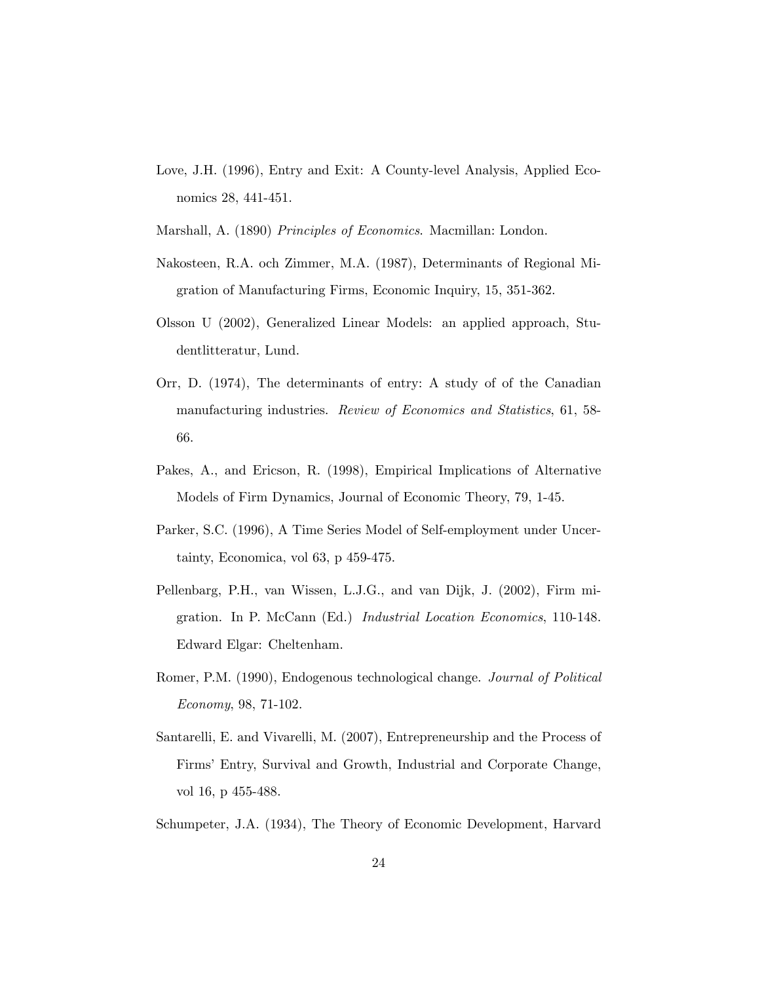- Love, J.H. (1996), Entry and Exit: A County-level Analysis, Applied Economics 28, 441-451.
- Marshall, A. (1890) Principles of Economics. Macmillan: London.
- Nakosteen, R.A. och Zimmer, M.A. (1987), Determinants of Regional Migration of Manufacturing Firms, Economic Inquiry, 15, 351-362.
- Olsson U (2002), Generalized Linear Models: an applied approach, Studentlitteratur, Lund.
- Orr, D. (1974), The determinants of entry: A study of of the Canadian manufacturing industries. Review of Economics and Statistics, 61, 58- 66.
- Pakes, A., and Ericson, R. (1998), Empirical Implications of Alternative Models of Firm Dynamics, Journal of Economic Theory, 79, 1-45.
- Parker, S.C. (1996), A Time Series Model of Self-employment under Uncertainty, Economica, vol 63, p 459-475.
- Pellenbarg, P.H., van Wissen, L.J.G., and van Dijk, J. (2002), Firm migration. In P. McCann (Ed.) Industrial Location Economics, 110-148. Edward Elgar: Cheltenham.
- Romer, P.M. (1990), Endogenous technological change. Journal of Political Economy, 98, 71-102.
- Santarelli, E. and Vivarelli, M. (2007), Entrepreneurship and the Process of Firms' Entry, Survival and Growth, Industrial and Corporate Change, vol 16, p 455-488.
- Schumpeter, J.A. (1934), The Theory of Economic Development, Harvard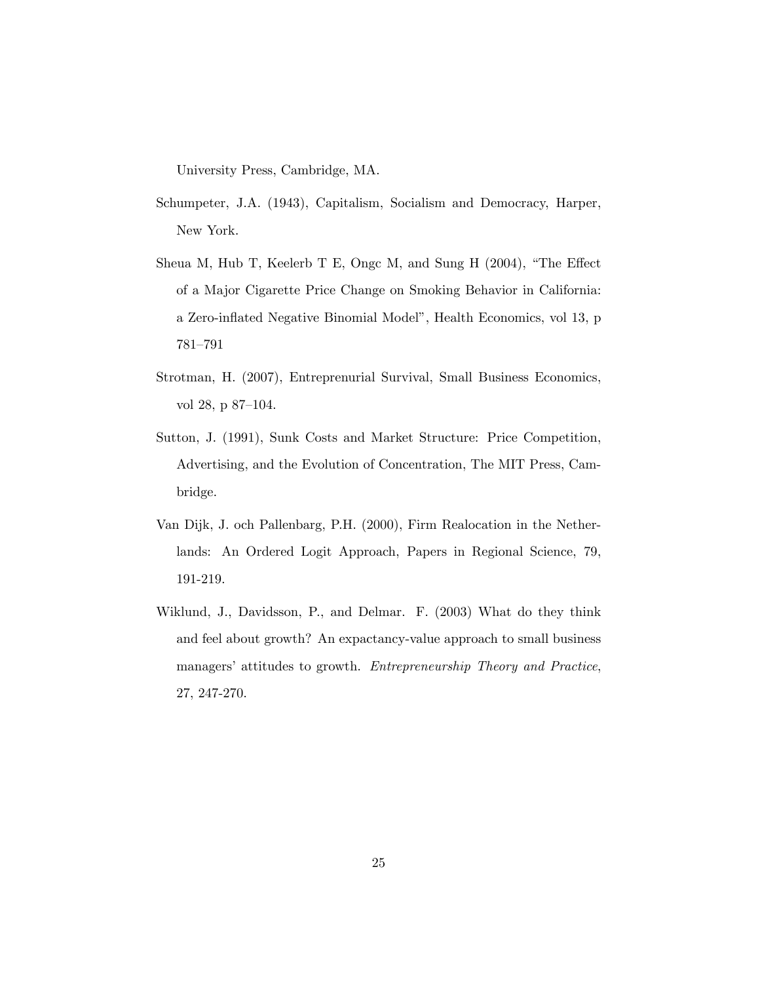University Press, Cambridge, MA.

- Schumpeter, J.A. (1943), Capitalism, Socialism and Democracy, Harper, New York.
- Sheua M, Hub T, Keelerb T E, Ongc M, and Sung H  $(2004)$ , "The Effect of a Major Cigarette Price Change on Smoking Behavior in California: a Zero-inflated Negative Binomial Model", Health Economics, vol 13, p 781-791
- Strotman, H. (2007), Entreprenurial Survival, Small Business Economics, vol 28, p 87-104.
- Sutton, J. (1991), Sunk Costs and Market Structure: Price Competition, Advertising, and the Evolution of Concentration, The MIT Press, Cambridge.
- Van Dijk, J. och Pallenbarg, P.H. (2000), Firm Realocation in the Netherlands: An Ordered Logit Approach, Papers in Regional Science, 79, 191-219.
- Wiklund, J., Davidsson, P., and Delmar. F. (2003) What do they think and feel about growth? An expactancy-value approach to small business managers' attitudes to growth. *Entrepreneurship Theory and Practice*, 27, 247-270.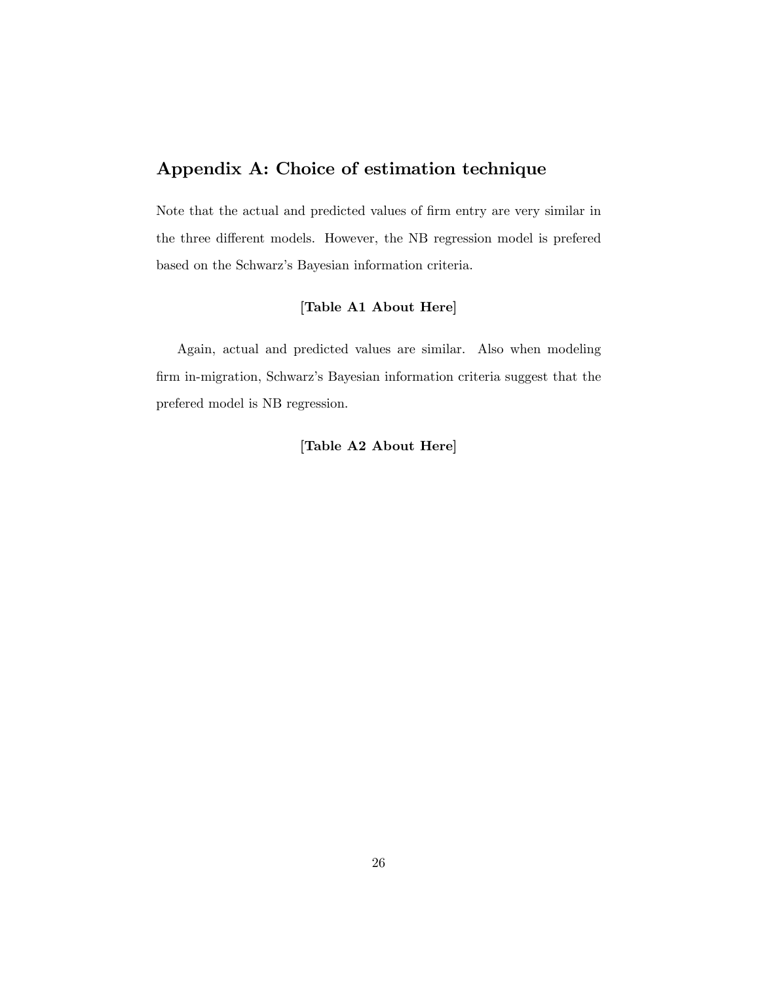# Appendix A: Choice of estimation technique

Note that the actual and predicted values of firm entry are very similar in the three different models. However, the NB regression model is prefered based on the Schwarz's Bayesian information criteria.

## [Table A1 About Here]

Again, actual and predicted values are similar. Also when modeling firm in-migration, Schwarz's Bayesian information criteria suggest that the prefered model is NB regression.

#### [Table A2 About Here]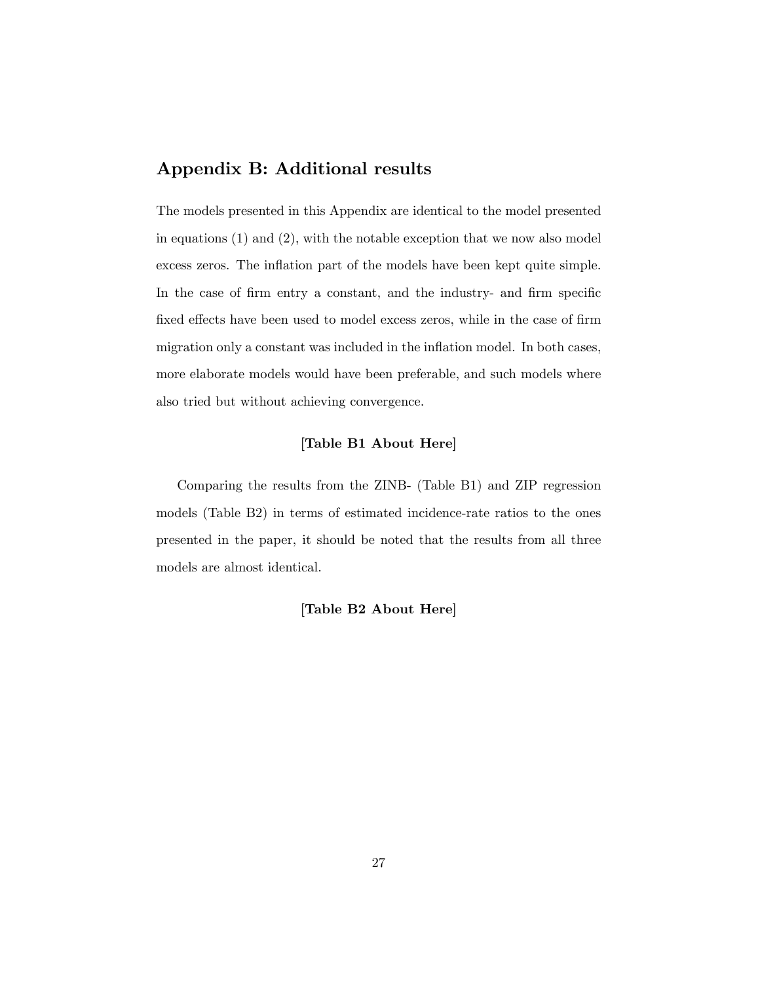# Appendix B: Additional results

The models presented in this Appendix are identical to the model presented in equations (1) and (2), with the notable exception that we now also model excess zeros. The inflation part of the models have been kept quite simple. In the case of firm entry a constant, and the industry- and firm specific fixed effects have been used to model excess zeros, while in the case of firm migration only a constant was included in the inflation model. In both cases, more elaborate models would have been preferable, and such models where also tried but without achieving convergence.

#### [Table B1 About Here]

Comparing the results from the ZINB- (Table B1) and ZIP regression models (Table B2) in terms of estimated incidence-rate ratios to the ones presented in the paper, it should be noted that the results from all three models are almost identical.

#### [Table B2 About Here]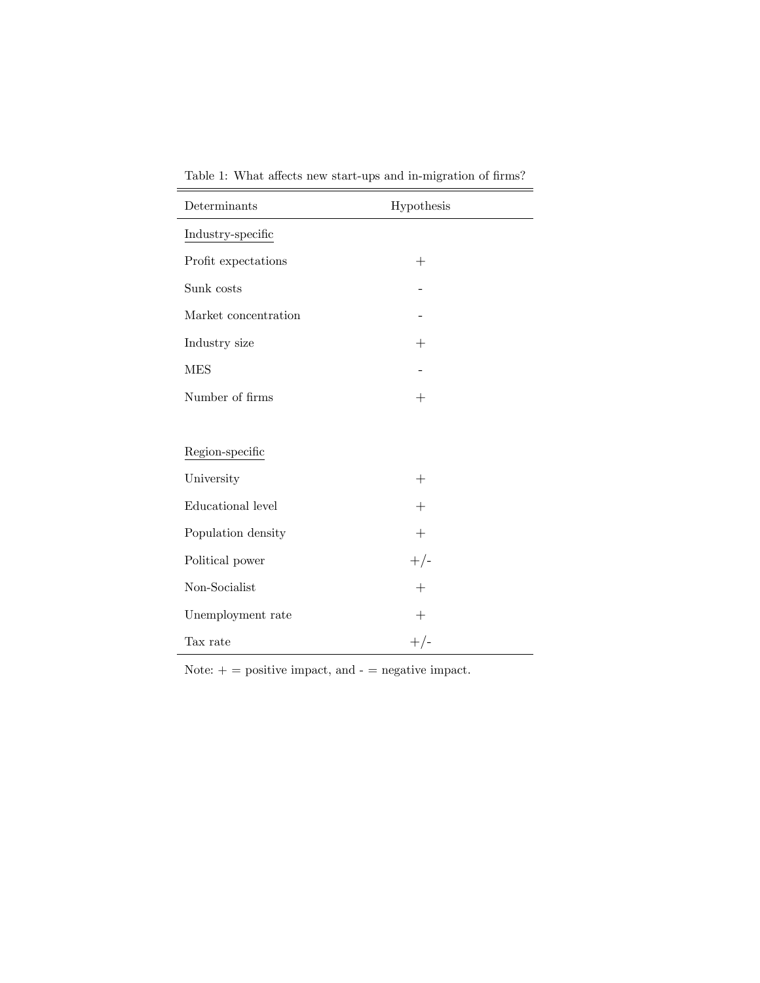| Table 1: What affects new start-ups and in-migration of firms? |  |  |  |  |  |  |  |  |  |  |  |  |
|----------------------------------------------------------------|--|--|--|--|--|--|--|--|--|--|--|--|
|----------------------------------------------------------------|--|--|--|--|--|--|--|--|--|--|--|--|

| Determinants         | Hypothesis         |
|----------------------|--------------------|
| Industry-specific    |                    |
| Profit expectations  | $^{+}$             |
| Sunk costs           |                    |
| Market concentration |                    |
| Industry size        | $^{+}$             |
| <b>MES</b>           |                    |
| Number of firms      | $+$                |
|                      |                    |
| Region-specific      |                    |
| University           | $^{+}$             |
| Educational level    | $^{+}$             |
| Population density   | $^{+}$             |
| Political power      | $+/-$              |
| Non-Socialist        | $\hspace{0.1mm} +$ |
| Unemployment rate    | $^{+}$             |
| Tax rate             | $+/-$              |

Note:  $+$  = positive impact, and  $-$  = negative impact.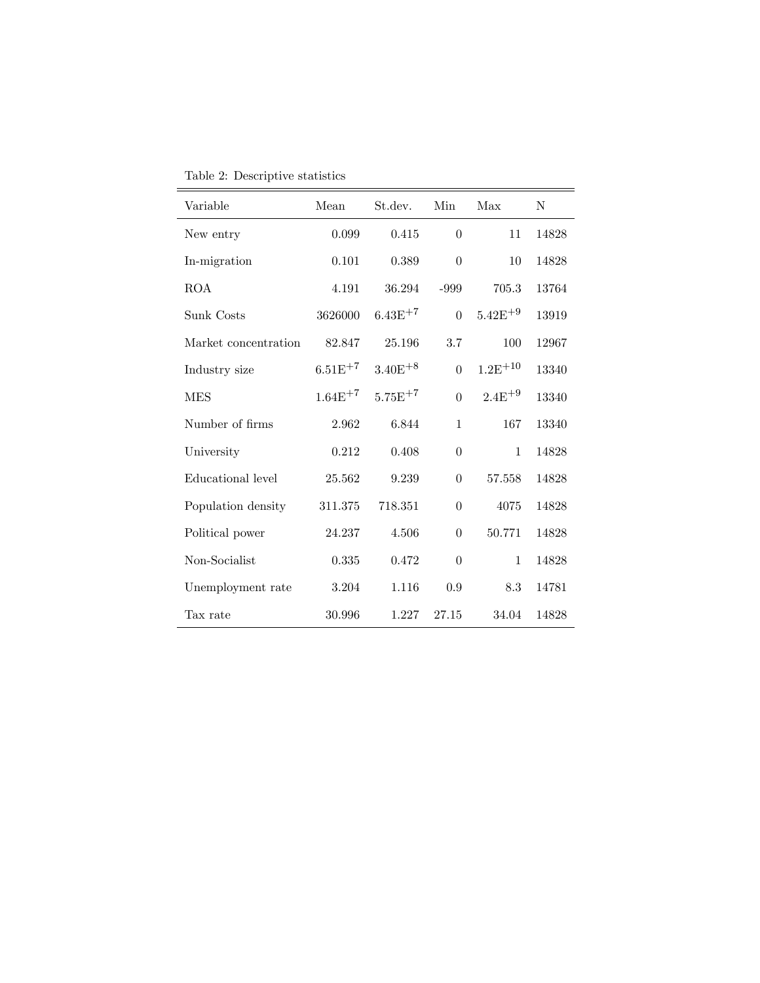| Variable             | Mean         | St.dev.      | Min            | Max          | N     |
|----------------------|--------------|--------------|----------------|--------------|-------|
| New entry            | 0.099        | 0.415        | $\theta$       | 11           | 14828 |
| In-migration         | 0.101        | 0.389        | $\theta$       | 10           | 14828 |
| <b>ROA</b>           | 4.191        | 36.294       | -999           | 705.3        | 13764 |
| Sunk Costs           | 3626000      | $6.43E^{+7}$ | $\theta$       | $5.42E^{+9}$ | 13919 |
| Market concentration | 82.847       | 25.196       | 3.7            | 100          | 12967 |
| Industry size        | $6.51E^{+7}$ | $3.40E + 8$  | $\theta$       | $1.2E^{+10}$ | 13340 |
| <b>MES</b>           | $1.64E^{+7}$ | $5.75E^{+7}$ | $\Omega$       | $2.4E^{+9}$  | 13340 |
| Number of firms      | 2.962        | 6.844        | 1              | 167          | 13340 |
| University           | 0.212        | 0.408        | $\theta$       | $\mathbf{1}$ | 14828 |
| Educational level    | 25.562       | 9.239        | $\theta$       | 57.558       | 14828 |
| Population density   | 311.375      | 718.351      | $\theta$       | 4075         | 14828 |
| Political power      | 24.237       | 4.506        | $\theta$       | 50.771       | 14828 |
| Non-Socialist        | 0.335        | 0.472        | $\overline{0}$ | 1            | 14828 |
| Unemployment rate    | 3.204        | 1.116        | 0.9            | 8.3          | 14781 |
| Tax rate             | 30.996       | 1.227        | 27.15          | 34.04        | 14828 |

Table 2: Descriptive statistics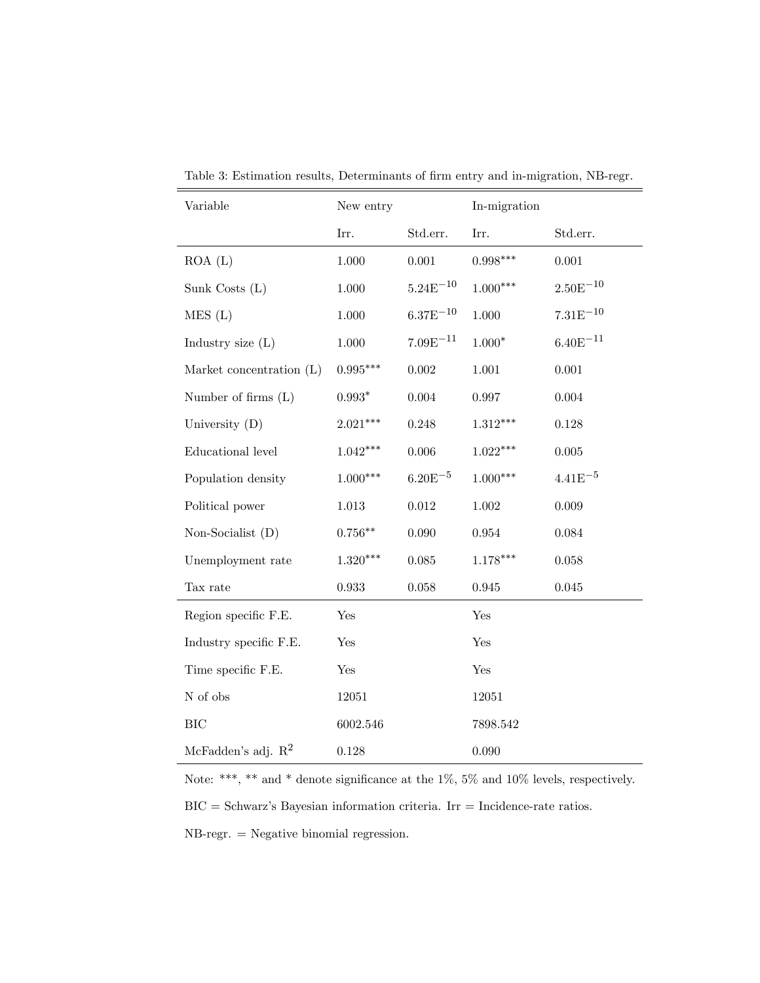| Variable                 | New entry      |               | In-migration |               |
|--------------------------|----------------|---------------|--------------|---------------|
|                          | Irr.           | Std.err.      | Irr.         | Std.err.      |
| ROA(L)                   | $1.000\,$      | $0.001\,$     | $0.998***$   | $0.001\,$     |
| Sunk Costs (L)           | $1.000\,$      | $5.24E^{-10}$ | $1.000***$   | $2.50E^{-10}$ |
| MES(L)                   | $1.000\,$      | $6.37E^{-10}$ | $1.000\,$    | $7.31E^{-10}$ |
| Industry size $(L)$      | $1.000\,$      | $7.09E^{-11}$ | $1.000*$     | $6.40E^{-11}$ |
| Market concentration (L) | $0.995***$     | $0.002\,$     | 1.001        | 0.001         |
| Number of firms $(L)$    | $0.993^{\ast}$ | 0.004         | 0.997        | 0.004         |
| University $(D)$         | $2.021***$     | 0.248         | $1.312***$   | 0.128         |
| Educational level        | $1.042***$     | 0.006         | $1.022***$   | 0.005         |
| Population density       | $1.000***$     | $6.20E^{-5}$  | $1.000***$   | $4.41E^{-5}$  |
| Political power          | $1.013\,$      | $\,0.012\,$   | $1.002\,$    | 0.009         |
| Non-Socialist (D)        | $0.756***$     | 0.090         | 0.954        | 0.084         |
| Unemployment rate        | $1.320***$     | 0.085         | $1.178***$   | 0.058         |
| Tax rate                 | 0.933          | 0.058         | 0.945        | 0.045         |
| Region specific F.E.     | Yes            |               | Yes          |               |
| Industry specific F.E.   | Yes            |               | Yes          |               |
| Time specific F.E.       | Yes            |               | Yes          |               |
| N of obs                 | 12051          |               | 12051        |               |
| <b>BIC</b>               | 6002.546       |               | 7898.542     |               |
| McFadden's adj. $R^2$    | 0.128          |               | 0.090        |               |

Table 3: Estimation results, Determinants of firm entry and in-migration, NB-regr.

Note: \*\*\*, \*\* and \* denote significance at the 1%, 5% and 10% levels, respectively.  $BIC =$  Schwarz's Bayesian information criteria. Irr = Incidence-rate ratios. NB-regr. = Negative binomial regression.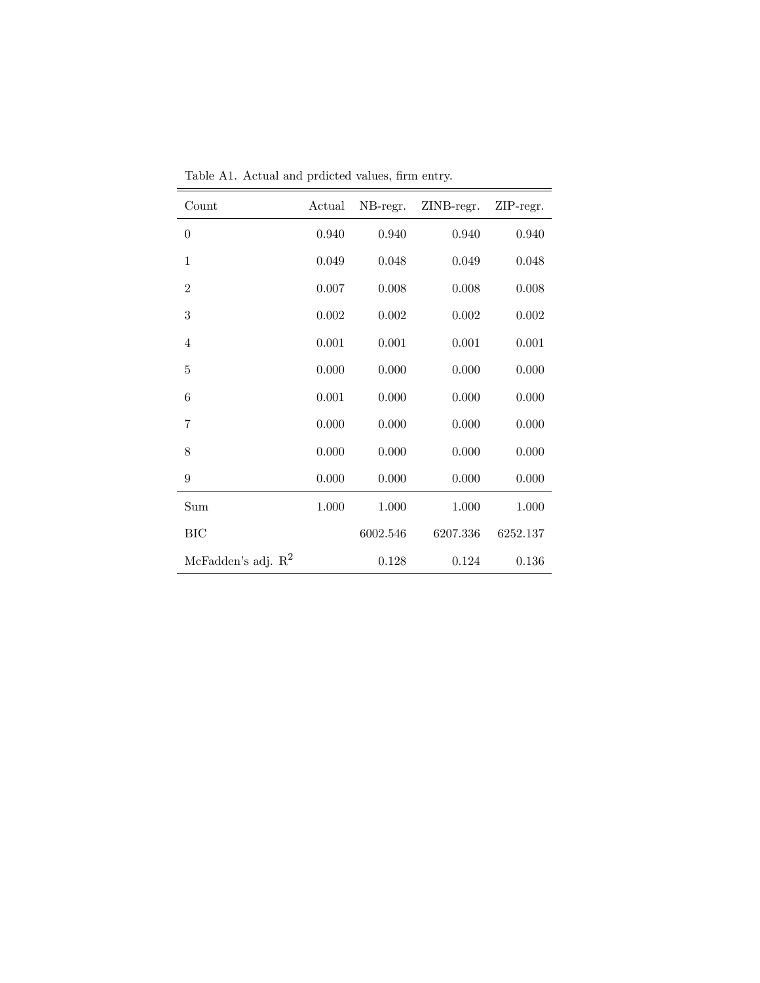| Count                 | Actual | NB-regr. | ZINB-regr. | ZIP-regr. |
|-----------------------|--------|----------|------------|-----------|
| $\theta$              | 0.940  | 0.940    | 0.940      | 0.940     |
| 1                     | 0.049  | 0.048    | 0.049      | 0.048     |
| $\overline{2}$        | 0.007  | 0.008    | 0.008      | 0.008     |
| 3                     | 0.002  | 0.002    | 0.002      | 0.002     |
| $\overline{4}$        | 0.001  | 0.001    | 0.001      | 0.001     |
| 5                     | 0.000  | 0.000    | 0.000      | 0.000     |
| 6                     | 0.001  | 0.000    | 0.000      | 0.000     |
| 7                     | 0.000  | 0.000    | 0.000      | 0.000     |
| 8                     | 0.000  | 0.000    | 0.000      | 0.000     |
| 9                     | 0.000  | 0.000    | 0.000      | 0.000     |
| Sum                   | 1.000  | 1.000    | 1.000      | 1.000     |
| <b>BIC</b>            |        | 6002.546 | 6207.336   | 6252.137  |
| McFadden's adj. $R^2$ |        | 0.128    | 0.124      | 0.136     |

Table A1. Actual and prdicted values, firm entry.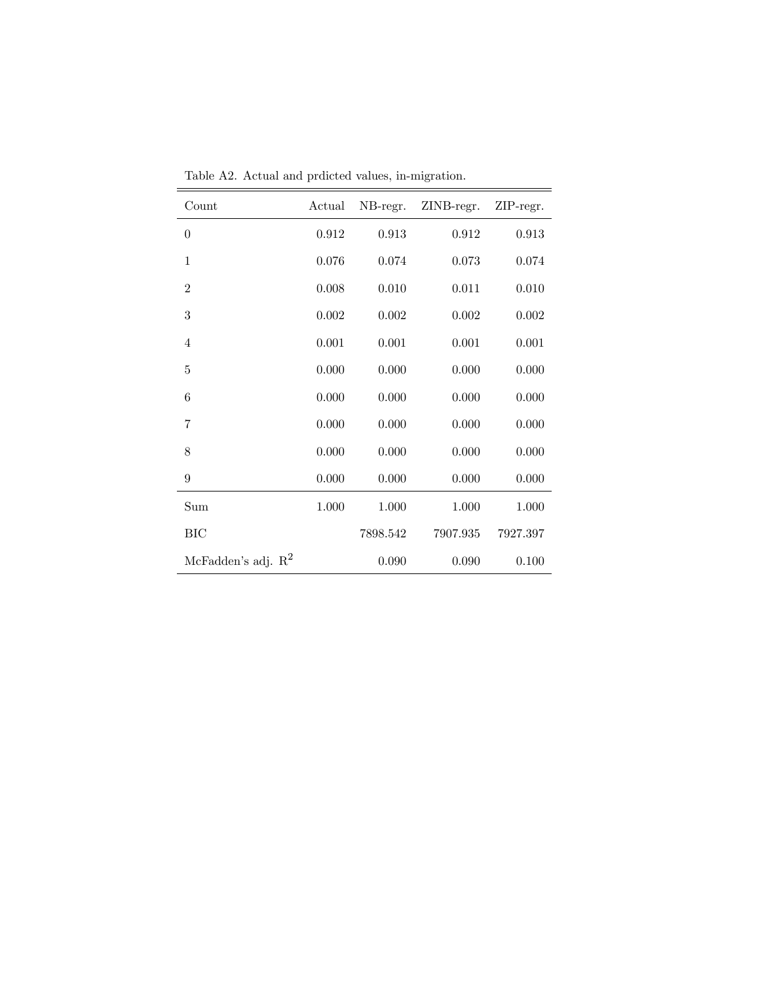| Count                 | Actual | NB-regr. | ZINB-regr. | ZIP-regr. |
|-----------------------|--------|----------|------------|-----------|
| $\theta$              | 0.912  | 0.913    | 0.912      | 0.913     |
| 1                     | 0.076  | 0.074    | 0.073      | 0.074     |
| $\overline{2}$        | 0.008  | 0.010    | 0.011      | 0.010     |
| 3                     | 0.002  | 0.002    | 0.002      | 0.002     |
| $\overline{4}$        | 0.001  | 0.001    | 0.001      | 0.001     |
| 5                     | 0.000  | 0.000    | 0.000      | 0.000     |
| 6                     | 0.000  | 0.000    | 0.000      | 0.000     |
| 7                     | 0.000  | 0.000    | 0.000      | 0.000     |
| 8                     | 0.000  | 0.000    | 0.000      | 0.000     |
| 9                     | 0.000  | 0.000    | 0.000      | 0.000     |
| Sum                   | 1.000  | 1.000    | 1.000      | 1.000     |
| <b>BIC</b>            |        | 7898.542 | 7907.935   | 7927.397  |
| McFadden's adj. $R^2$ |        | 0.090    | 0.090      | 0.100     |

Table A2. Actual and prdicted values, in-migration.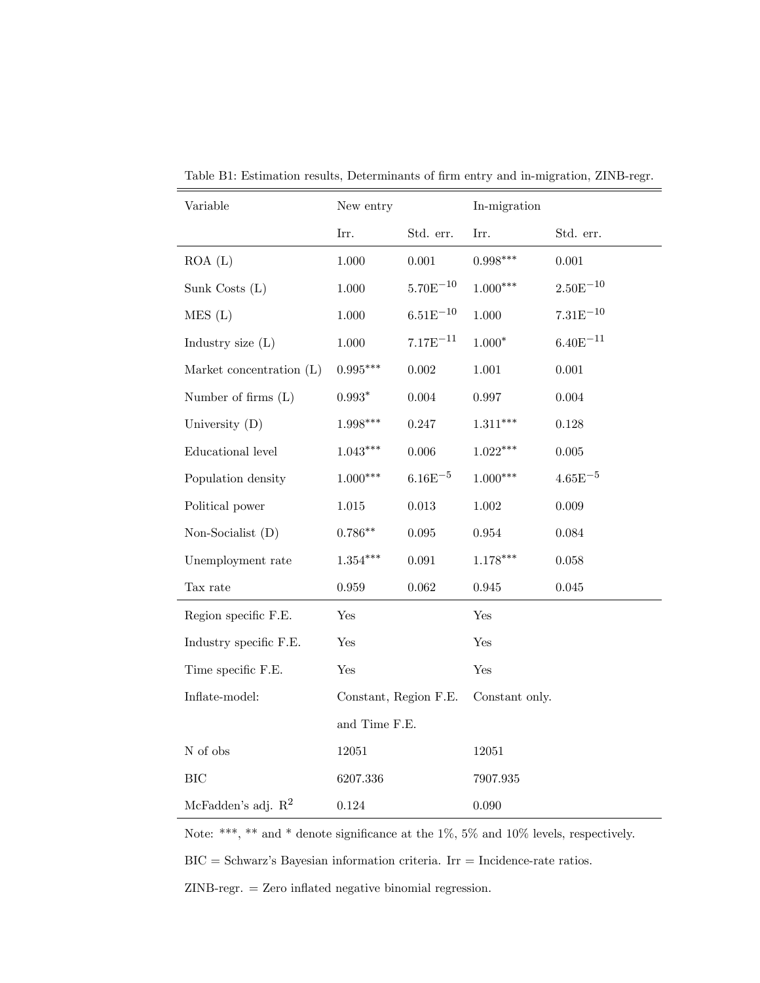| Variable                 | New entry              |               | In-migration   |               |
|--------------------------|------------------------|---------------|----------------|---------------|
|                          | Irr.                   | Std. err.     | Irr.           | Std. err.     |
| ROA(L)                   | $1.000\,$              | $0.001\,$     | $0.998***$     | $0.001\,$     |
| Sunk Costs (L)           | 1.000                  | $5.70E^{-10}$ | $1.000***$     | $2.50E^{-10}$ |
| MES(L)                   | $1.000\,$              | $6.51E^{-10}$ | $1.000\,$      | $7.31E^{-10}$ |
| Industry size $(L)$      | $1.000\,$              | $7.17E^{-11}$ | $1.000*$       | $6.40E^{-11}$ |
| Market concentration (L) | $0.995^{\ast\ast\ast}$ | $0.002\,$     | $1.001\,$      | $0.001\,$     |
| Number of firms $(L)$    | $0.993^{\ast}$         | 0.004         | 0.997          | 0.004         |
| University (D)           | $1.998***$             | $0.247\,$     | $1.311***$     | $0.128\,$     |
| Educational level        | $1.043***$             | $0.006\,$     | $1.022***$     | $0.005\,$     |
| Population density       | $1.000***$             | $6.16E^{-5}$  | $1.000***$     | $4.65E^{-5}$  |
| Political power          | $1.015\,$              | $\,0.013\,$   | $1.002\,$      | $0.009\,$     |
| Non-Socialist (D)        | $0.786**$              | $\,0.095\,$   | $\,0.954\,$    | 0.084         |
| Unemployment rate        | $1.354***$             | $\,0.091\,$   | $1.178***$     | 0.058         |
| Tax rate                 | $\,0.959\,$            | $\,0.062\,$   | $\,0.945\,$    | $\,0.045\,$   |
| Region specific F.E.     | Yes                    |               | Yes            |               |
| Industry specific F.E.   | Yes                    |               | Yes            |               |
| Time specific F.E.       | Yes                    |               | Yes            |               |
| Inflate-model:           | Constant, Region F.E.  |               | Constant only. |               |
|                          | and Time F.E.          |               |                |               |
| ${\cal N}$ of obs        | 12051                  |               | 12051          |               |
| <b>BIC</b>               | 6207.336               |               | 7907.935       |               |
| McFadden's adj. $R^2$    | 0.124                  |               | 0.090          |               |

Table B1: Estimation results, Determinants of firm entry and in-migration, ZINB-regr.

Note: \*\*\*, \*\* and \* denote significance at the  $1\%$ , 5% and  $10\%$  levels, respectively.  $BIC =$  Schwarz's Bayesian information criteria. Irr = Incidence-rate ratios.  $ZINB-regr. = Zero inflated negative binomial regression.$